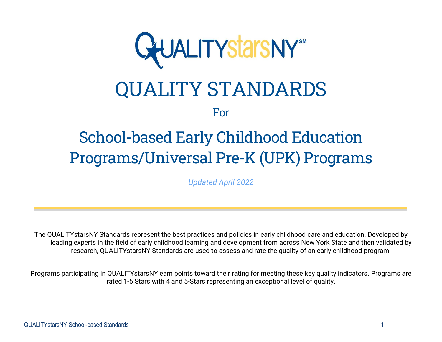

# QUALITY STANDARDS

For

# School-based Early Childhood Education Programs/Universal Pre-K (UPK) Programs

*Updated April 2022*

The QUALITYstarsNY Standards represent the best practices and policies in early childhood care and education. Developed by leading experts in the field of early childhood learning and development from across New York State and then validated by research, QUALITYstarsNY Standards are used to assess and rate the quality of an early childhood program.

Programs participating in QUALITYstarsNY earn points toward their rating for meeting these key quality indicators. Programs are rated 1-5 Stars with 4 and 5-Stars representing an exceptional level of quality.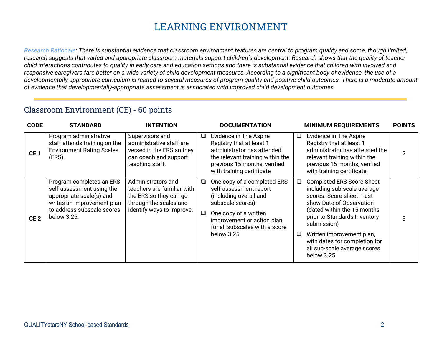# **LEARNING ENVIRONMENT**

*Research Rationale: There is substantial evidence that classroom environment features are central to program quality and some, though limited, research suggests that varied and appropriate classroom materials support children's development. Research shows that the quality of teacherchild interactions contributes to quality in early care and education settings and there is substantial evidence that children with involved and responsive caregivers fare better on a wide variety of child development measures. According to a significant body of evidence, the use of a developmentally appropriate curriculum is related to several measures of program quality and positive child outcomes. There is a moderate amount of evidence that developmentally-appropriate assessment is associated with improved child development outcomes.*

#### Classroom Environment (CE) - 60 points

| <b>CODE</b>     | <b>STANDARD</b>                                                                                                                                              | <b>INTENTION</b>                                                                                                                  |         | <b>DOCUMENTATION</b>                                                                                                                                                                                       |        | <b>MINIMUM REQUIREMENTS</b>                                                                                                                                                                                                                                                                                       | <b>POINTS</b>  |
|-----------------|--------------------------------------------------------------------------------------------------------------------------------------------------------------|-----------------------------------------------------------------------------------------------------------------------------------|---------|------------------------------------------------------------------------------------------------------------------------------------------------------------------------------------------------------------|--------|-------------------------------------------------------------------------------------------------------------------------------------------------------------------------------------------------------------------------------------------------------------------------------------------------------------------|----------------|
| CE <sub>1</sub> | Program administrative<br>staff attends training on the<br><b>Environment Rating Scales</b><br>(ERS).                                                        | Supervisors and<br>administrative staff are<br>versed in the ERS so they<br>can coach and support<br>teaching staff.              | $\Box$  | Evidence in The Aspire<br>Registry that at least 1<br>administrator has attended<br>the relevant training within the<br>previous 15 months, verified<br>with training certificate                          | $\Box$ | Evidence in The Aspire<br>Registry that at least 1<br>administrator has attended the<br>relevant training within the<br>previous 15 months, verified<br>with training certificate                                                                                                                                 | $\overline{2}$ |
| CE <sub>2</sub> | Program completes an ERS<br>self-assessment using the<br>appropriate scale(s) and<br>writes an improvement plan<br>to address subscale scores<br>below 3.25. | Administrators and<br>teachers are familiar with<br>the ERS so they can go<br>through the scales and<br>identify ways to improve. | Q.<br>O | One copy of a completed ERS<br>self-assessment report<br>(including overall and<br>subscale scores)<br>One copy of a written<br>improvement or action plan<br>for all subscales with a score<br>below 3.25 | □<br>□ | <b>Completed ERS Score Sheet</b><br>including sub-scale average<br>scores. Score sheet must<br>show Date of Observation<br>(dated within the 15 months<br>prior to Standards Inventory<br>submission)<br>Written improvement plan,<br>with dates for completion for<br>all sub-scale average scores<br>below 3.25 | 8              |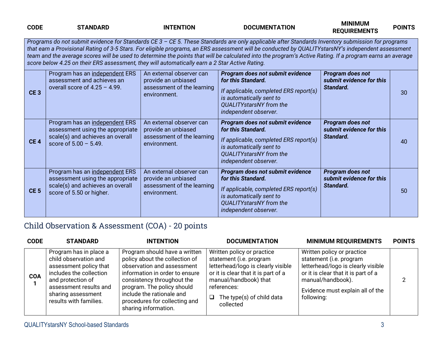| <b>CODE</b>     | <b>STANDARD</b>                                                                                                                                                                                                                                                                                                                                                                                                                                                                                                                                                      | <b>INTENTION</b>                                                                              | <b>DOCUMENTATION</b>                                                                                                                                                                    | <b>MINIMUM</b><br><b>REQUIREMENTS</b>                     | <b>POINTS</b> |  |  |  |  |
|-----------------|----------------------------------------------------------------------------------------------------------------------------------------------------------------------------------------------------------------------------------------------------------------------------------------------------------------------------------------------------------------------------------------------------------------------------------------------------------------------------------------------------------------------------------------------------------------------|-----------------------------------------------------------------------------------------------|-----------------------------------------------------------------------------------------------------------------------------------------------------------------------------------------|-----------------------------------------------------------|---------------|--|--|--|--|
|                 | Programs do not submit evidence for Standards CE 3 - CE 5. These Standards are only applicable after Standards Inventory submission for programs<br>that earn a Provisional Rating of 3-5 Stars. For eligible programs, an ERS assessment will be conducted by QUALITYstarsNY's independent assessment<br>team and the average scores will be used to determine the points that will be calculated into the program's Active Rating. If a program earns an average<br>score below 4.25 on their ERS assessment, they will automatically earn a 2 Star Active Rating. |                                                                                               |                                                                                                                                                                                         |                                                           |               |  |  |  |  |
| CE <sub>3</sub> | Program has an independent ERS<br>assessment and achieves an<br>overall score of $4.25 - 4.99$ .                                                                                                                                                                                                                                                                                                                                                                                                                                                                     | An external observer can<br>provide an unbiased<br>assessment of the learning<br>environment. | Program does not submit evidence<br>for this Standard.<br>If applicable, completed ERS report(s)<br>is automatically sent to<br>QUALITYstarsNY from the<br>independent observer.        | Program does not<br>submit evidence for this<br>Standard. | 30            |  |  |  |  |
| CE <sub>4</sub> | Program has an independent ERS<br>assessment using the appropriate<br>scale(s) and achieves an overall<br>score of $5.00 - 5.49$ .                                                                                                                                                                                                                                                                                                                                                                                                                                   | An external observer can<br>provide an unbiased<br>assessment of the learning<br>environment. | Program does not submit evidence<br>for this Standard.<br>If applicable, completed ERS report(s)<br>is automatically sent to<br><b>QUALITYstarsNY</b> from the<br>independent observer. | Program does not<br>submit evidence for this<br>Standard. | 40            |  |  |  |  |
| CE <sub>5</sub> | Program has an independent ERS<br>assessment using the appropriate<br>scale(s) and achieves an overall<br>score of 5.50 or higher.                                                                                                                                                                                                                                                                                                                                                                                                                                   | An external observer can<br>provide an unbiased<br>assessment of the learning<br>environment. | Program does not submit evidence<br>for this Standard.<br>If applicable, completed ERS report(s)<br>is automatically sent to<br><b>QUALITYstarsNY</b> from the<br>independent observer. | Program does not<br>submit evidence for this<br>Standard. | 50            |  |  |  |  |

#### Child Observation & Assessment (COA) - 20 points

| <b>CODE</b> | <b>STANDARD</b>                                                                                                                                                                                     | <b>INTENTION</b>                                                                                                                                                                                                                                                                  | <b>DOCUMENTATION</b>                                                                                                                                                                                                 | <b>MINIMUM REQUIREMENTS</b>                                                                                                                                                                               | <b>POINTS</b> |
|-------------|-----------------------------------------------------------------------------------------------------------------------------------------------------------------------------------------------------|-----------------------------------------------------------------------------------------------------------------------------------------------------------------------------------------------------------------------------------------------------------------------------------|----------------------------------------------------------------------------------------------------------------------------------------------------------------------------------------------------------------------|-----------------------------------------------------------------------------------------------------------------------------------------------------------------------------------------------------------|---------------|
| <b>COA</b>  | Program has in place a<br>child observation and<br>assessment policy that<br>includes the collection<br>and protection of<br>assessment results and<br>sharing assessment<br>results with families. | Program should have a written<br>policy about the collection of<br>observation and assessment<br>information in order to ensure<br>consistency throughout the<br>program. The policy should<br>include the rationale and<br>procedures for collecting and<br>sharing information. | Written policy or practice<br>statement (i.e. program<br>letterhead/logo is clearly visible<br>or it is clear that it is part of a<br>manual/handbook) that<br>references:<br>The type(s) of child data<br>collected | Written policy or practice<br>statement (i.e. program<br>letterhead/logo is clearly visible<br>or it is clear that it is part of a<br>manual/handbook).<br>Evidence must explain all of the<br>following: |               |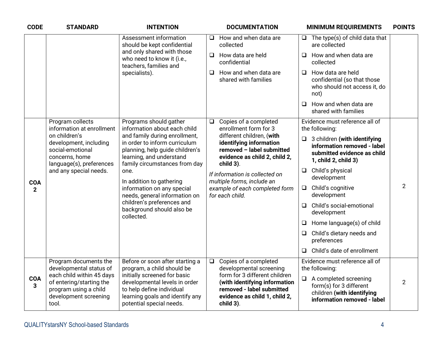| <b>CODE</b>                | <b>STANDARD</b>                                                                                                                     | <b>INTENTION</b>                                                                                                                                                                                                                                                  |                                                                                                                   | <b>DOCUMENTATION</b>                                                                                                                      |                                         | <b>MINIMUM REQUIREMENTS</b>                                                                                               | <b>POINTS</b>  |
|----------------------------|-------------------------------------------------------------------------------------------------------------------------------------|-------------------------------------------------------------------------------------------------------------------------------------------------------------------------------------------------------------------------------------------------------------------|-------------------------------------------------------------------------------------------------------------------|-------------------------------------------------------------------------------------------------------------------------------------------|-----------------------------------------|---------------------------------------------------------------------------------------------------------------------------|----------------|
|                            |                                                                                                                                     | Assessment information<br>$\Box$<br>should be kept confidential                                                                                                                                                                                                   | collected                                                                                                         | How and when data are                                                                                                                     |                                         | $\Box$ The type(s) of child data that<br>are collected                                                                    |                |
|                            |                                                                                                                                     | and only shared with those<br>who need to know it (i.e.,<br>teachers, families and                                                                                                                                                                                | confidential                                                                                                      | $\Box$ How data are held                                                                                                                  | $\Box$                                  | How and when data are<br>collected                                                                                        |                |
|                            |                                                                                                                                     | specialists).                                                                                                                                                                                                                                                     | ❏                                                                                                                 | How and when data are<br>shared with families                                                                                             | $\Box$                                  | How data are held<br>confidential (so that those<br>who should not access it, do<br>not)                                  |                |
|                            |                                                                                                                                     |                                                                                                                                                                                                                                                                   |                                                                                                                   |                                                                                                                                           | $\Box$                                  | How and when data are<br>shared with families                                                                             |                |
|                            | Program collects<br>information at enrollment                                                                                       | Programs should gather<br>information about each child                                                                                                                                                                                                            | $\Box$                                                                                                            | Copies of a completed<br>enrollment form for 3                                                                                            |                                         | Evidence must reference all of<br>the following:                                                                          |                |
|                            | on children's<br>development, including<br>social-emotional<br>concerns, home<br>language(s), preferences<br>and any special needs. | and family during enrollment,<br>in order to inform curriculum<br>planning, help guide children's<br>learning, and understand<br>family circumstances from day<br>one.<br>In addition to gathering<br>information on any special<br>needs, general information on | child 3).                                                                                                         | different children, (with<br>identifying information<br>removed - label submitted<br>evidence as child 2, child 2,                        |                                         | $\Box$ 3 children (with identifying<br>information removed - label<br>submitted evidence as child<br>1, child 2, child 3) |                |
|                            |                                                                                                                                     |                                                                                                                                                                                                                                                                   | If information is collected on<br>multiple forms, include an<br>example of each completed form<br>for each child. | $\Box$                                                                                                                                    | Child's physical<br>development         |                                                                                                                           |                |
| <b>COA</b><br>$\mathbf{2}$ |                                                                                                                                     |                                                                                                                                                                                                                                                                   |                                                                                                                   | $\Box$                                                                                                                                    | Child's cognitive<br>development        | $\overline{2}$                                                                                                            |                |
|                            |                                                                                                                                     | children's preferences and<br>background should also be<br>collected.                                                                                                                                                                                             |                                                                                                                   | $\Box$                                                                                                                                    | Child's social-emotional<br>development |                                                                                                                           |                |
|                            |                                                                                                                                     |                                                                                                                                                                                                                                                                   |                                                                                                                   |                                                                                                                                           | $\Box$                                  | Home language(s) of child                                                                                                 | $\overline{2}$ |
|                            |                                                                                                                                     |                                                                                                                                                                                                                                                                   |                                                                                                                   |                                                                                                                                           | □                                       | Child's dietary needs and<br>preferences                                                                                  |                |
|                            |                                                                                                                                     |                                                                                                                                                                                                                                                                   |                                                                                                                   |                                                                                                                                           |                                         | $\Box$ Child's date of enrollment                                                                                         |                |
|                            | Program documents the<br>developmental status of                                                                                    | Before or soon after starting a<br>program, a child should be                                                                                                                                                                                                     | $\Box$                                                                                                            | Copies of a completed<br>developmental screening                                                                                          |                                         | Evidence must reference all of<br>the following:                                                                          |                |
| <b>COA</b><br>3            | each child within 45 days<br>of entering/starting the<br>program using a child<br>development screening<br>tool.                    | initially screened for basic<br>developmental levels in order<br>to help define individual<br>learning goals and identify any<br>potential special needs.                                                                                                         |                                                                                                                   | form for 3 different children<br>(with identifying information<br>removed - label submitted<br>evidence as child 1, child 2,<br>child 3). |                                         | $\Box$ A completed screening<br>form(s) for 3 different<br>children (with identifying<br>information removed - label      |                |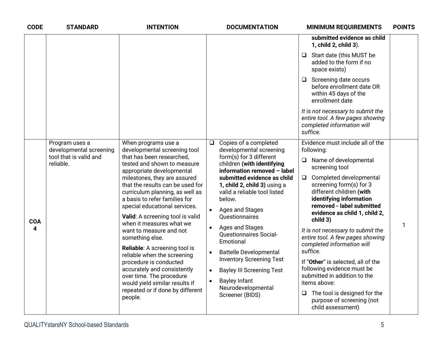| <b>CODE</b>     | <b>STANDARD</b>                                                                                                                                                                                                                    | <b>INTENTION</b>                                                                                                                                                                                                                                                                                                                                                                                                                    |                                                                                                                                                                       | <b>DOCUMENTATION</b>                                                                                                                                                                                                                                                                                                                                           |                                                                                                                                                                                                                                                     | <b>MINIMUM REQUIREMENTS</b>                                                                                                                                                                                                                                                                                                                               | <b>POINTS</b> |
|-----------------|------------------------------------------------------------------------------------------------------------------------------------------------------------------------------------------------------------------------------------|-------------------------------------------------------------------------------------------------------------------------------------------------------------------------------------------------------------------------------------------------------------------------------------------------------------------------------------------------------------------------------------------------------------------------------------|-----------------------------------------------------------------------------------------------------------------------------------------------------------------------|----------------------------------------------------------------------------------------------------------------------------------------------------------------------------------------------------------------------------------------------------------------------------------------------------------------------------------------------------------------|-----------------------------------------------------------------------------------------------------------------------------------------------------------------------------------------------------------------------------------------------------|-----------------------------------------------------------------------------------------------------------------------------------------------------------------------------------------------------------------------------------------------------------------------------------------------------------------------------------------------------------|---------------|
|                 |                                                                                                                                                                                                                                    |                                                                                                                                                                                                                                                                                                                                                                                                                                     |                                                                                                                                                                       |                                                                                                                                                                                                                                                                                                                                                                |                                                                                                                                                                                                                                                     | submitted evidence as child<br>1, child 2, child 3).                                                                                                                                                                                                                                                                                                      |               |
|                 |                                                                                                                                                                                                                                    |                                                                                                                                                                                                                                                                                                                                                                                                                                     |                                                                                                                                                                       |                                                                                                                                                                                                                                                                                                                                                                |                                                                                                                                                                                                                                                     | $\Box$ Start date (this MUST be<br>added to the form if no<br>space exists)                                                                                                                                                                                                                                                                               |               |
|                 |                                                                                                                                                                                                                                    |                                                                                                                                                                                                                                                                                                                                                                                                                                     |                                                                                                                                                                       |                                                                                                                                                                                                                                                                                                                                                                |                                                                                                                                                                                                                                                     | $\Box$ Screening date occurs<br>before enrollment date OR<br>within 45 days of the<br>enrollment date                                                                                                                                                                                                                                                     |               |
|                 |                                                                                                                                                                                                                                    |                                                                                                                                                                                                                                                                                                                                                                                                                                     |                                                                                                                                                                       |                                                                                                                                                                                                                                                                                                                                                                |                                                                                                                                                                                                                                                     | It is not necessary to submit the<br>entire tool. A few pages showing<br>completed information will<br>suffice.                                                                                                                                                                                                                                           |               |
| <b>COA</b><br>4 | Program uses a<br>developmental screening<br>tool that is valid and<br>reliable.                                                                                                                                                   | When programs use a<br>developmental screening tool<br>that has been researched,<br>tested and shown to measure<br>appropriate developmental<br>milestones, they are assured<br>that the results can be used for<br>curriculum planning, as well as<br>a basis to refer families for<br>special educational services.<br>Valid: A screening tool is valid<br>when it measures what we<br>want to measure and not<br>something else. | $\Box$<br>$\bullet$                                                                                                                                                   | Copies of a completed<br>developmental screening<br>form(s) for 3 different<br>children (with identifying<br>information removed - label<br>submitted evidence as child<br>1, child 2, child 3) using a<br>valid a reliable tool listed<br>below.<br>Ages and Stages<br><b>Ouestionnaires</b><br>Ages and Stages<br><b>Questionnaires Social-</b><br>Emotional | $\Box$<br>$\Box$                                                                                                                                                                                                                                    | Evidence must include all of the<br>following:<br>Name of developmental<br>screening tool<br>Completed developmental<br>screening form(s) for 3<br>different children (with<br>identifying information<br>removed - label submitted<br>evidence as child 1, child 2,<br>child 3)<br>It is not necessary to submit the<br>entire tool. A few pages showing | $\mathbf{1}$  |
|                 | Reliable: A screening tool is<br>reliable when the screening<br>procedure is conducted<br>accurately and consistently<br>over time. The procedure<br>would yield similar results if<br>repeated or if done by different<br>people. | $\bullet$<br>$\bullet$                                                                                                                                                                                                                                                                                                                                                                                                              | <b>Battelle Developmental</b><br><b>Inventory Screening Test</b><br><b>Bayley III Screening Test</b><br><b>Bayley Infant</b><br>Neurodevelopmental<br>Screener (BIDS) |                                                                                                                                                                                                                                                                                                                                                                | completed information will<br>suffice.<br>If "Other" is selected, all of the<br>following evidence must be<br>submitted in addition to the<br>items above:<br>$\Box$ The tool is designed for the<br>purpose of screening (not<br>child assessment) |                                                                                                                                                                                                                                                                                                                                                           |               |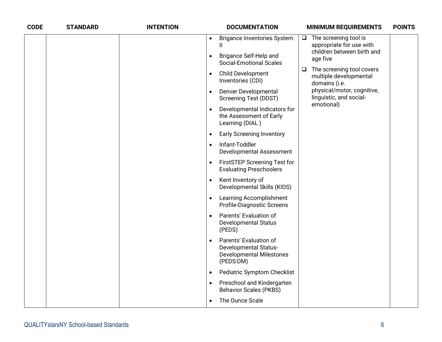| <b>CODE</b> | <b>STANDARD</b> | <b>INTENTION</b> |           | <b>DOCUMENTATION</b>                                                                                   |        | <b>MINIMUM REQUIREMENTS</b>                                                                                                                 | <b>POINTS</b> |
|-------------|-----------------|------------------|-----------|--------------------------------------------------------------------------------------------------------|--------|---------------------------------------------------------------------------------------------------------------------------------------------|---------------|
|             |                 |                  | $\bullet$ | <b>Brigance Inventories System</b><br>Ш                                                                | $\Box$ | The screening tool is<br>appropriate for use with                                                                                           |               |
|             |                 |                  | $\bullet$ | Brigance Self-Help and<br><b>Social-Emotional Scales</b>                                               |        | children between birth and<br>age five                                                                                                      |               |
|             |                 |                  | $\bullet$ | Child Development<br>Inventories (CDI)                                                                 | □      | The screening tool covers<br>multiple developmental<br>domains (i.e.<br>physical/motor, cognitive,<br>linguistic, and social-<br>emotional) |               |
|             |                 |                  | $\bullet$ | Denver Developmental<br><b>Screening Test (DDST)</b>                                                   |        |                                                                                                                                             |               |
|             |                 |                  |           | Developmental Indicators for<br>the Assessment of Early<br>Learning (DIAL)                             |        |                                                                                                                                             |               |
|             |                 |                  | $\bullet$ | <b>Early Screening Inventory</b>                                                                       |        |                                                                                                                                             |               |
|             |                 |                  | $\bullet$ | Infant-Toddler<br>Developmental Assessment                                                             |        |                                                                                                                                             |               |
|             |                 |                  | $\bullet$ | <b>FirstSTEP Screening Test for</b><br><b>Evaluating Preschoolers</b>                                  |        |                                                                                                                                             |               |
|             |                 |                  | $\bullet$ | Kent Inventory of<br>Developmental Skills (KIDS)                                                       |        |                                                                                                                                             |               |
|             |                 |                  | $\bullet$ | Learning Accomplishment<br>Profile-Diagnostic Screens                                                  |        |                                                                                                                                             |               |
|             |                 |                  |           | Parents' Evaluation of<br><b>Developmental Status</b><br>(PEDS)                                        |        |                                                                                                                                             |               |
|             |                 |                  |           | Parents' Evaluation of<br><b>Developmental Status-</b><br><b>Developmental Milestones</b><br>(PEDS:DM) |        |                                                                                                                                             |               |
|             |                 |                  | $\bullet$ | <b>Pediatric Symptom Checklist</b>                                                                     |        |                                                                                                                                             |               |
|             |                 |                  | $\bullet$ | Preschool and Kindergarten<br><b>Behavior Scales (PKBS)</b>                                            |        |                                                                                                                                             |               |
|             |                 |                  | $\bullet$ | The Ounce Scale                                                                                        |        |                                                                                                                                             |               |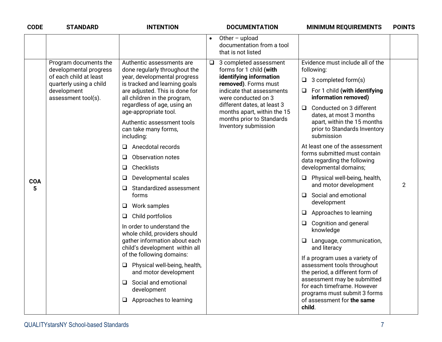| <b>CODE</b>     | <b>STANDARD</b>                                                                                                                            | <b>INTENTION</b>                                                                                                                                                                                                                                                                                                                                                                                                                                                                                                                                                                                                                                                                                                                                                                                                                       | <b>DOCUMENTATION</b>                                                                                                                                                                                                                                                                  | <b>MINIMUM REQUIREMENTS</b>                                                                                                                                                                                                                                                                                                                                                                                                                                                                                                                                                                                                                                                                                                                                                                                                                                                                      | <b>POINTS</b>  |
|-----------------|--------------------------------------------------------------------------------------------------------------------------------------------|----------------------------------------------------------------------------------------------------------------------------------------------------------------------------------------------------------------------------------------------------------------------------------------------------------------------------------------------------------------------------------------------------------------------------------------------------------------------------------------------------------------------------------------------------------------------------------------------------------------------------------------------------------------------------------------------------------------------------------------------------------------------------------------------------------------------------------------|---------------------------------------------------------------------------------------------------------------------------------------------------------------------------------------------------------------------------------------------------------------------------------------|--------------------------------------------------------------------------------------------------------------------------------------------------------------------------------------------------------------------------------------------------------------------------------------------------------------------------------------------------------------------------------------------------------------------------------------------------------------------------------------------------------------------------------------------------------------------------------------------------------------------------------------------------------------------------------------------------------------------------------------------------------------------------------------------------------------------------------------------------------------------------------------------------|----------------|
|                 |                                                                                                                                            |                                                                                                                                                                                                                                                                                                                                                                                                                                                                                                                                                                                                                                                                                                                                                                                                                                        | Other $-$ upload<br>documentation from a tool<br>that is not listed                                                                                                                                                                                                                   |                                                                                                                                                                                                                                                                                                                                                                                                                                                                                                                                                                                                                                                                                                                                                                                                                                                                                                  |                |
| <b>COA</b><br>5 | Program documents the<br>developmental progress<br>of each child at least<br>quarterly using a child<br>development<br>assessment tool(s). | Authentic assessments are<br>done regularly throughout the<br>year, developmental progress<br>is tracked and learning goals<br>are adjusted. This is done for<br>all children in the program,<br>regardless of age, using an<br>age-appropriate tool.<br>Authentic assessment tools<br>can take many forms,<br>including:<br>Anecdotal records<br>□<br>Observation notes<br>❏<br>Checklists<br>❏<br>Developmental scales<br>❏<br>Standardized assessment<br>$\Box$<br>forms<br>Work samples<br>□<br>Child portfolios<br>⊔<br>In order to understand the<br>whole child, providers should<br>gather information about each<br>child's development within all<br>of the following domains:<br>Physical well-being, health,<br>⊔<br>and motor development<br>Social and emotional<br>$\Box$<br>development<br>Approaches to learning<br>⊔ | 3 completed assessment<br>$\Box$<br>forms for 1 child (with<br>identifying information<br>removed). Forms must<br>indicate that assessments<br>were conducted on 3<br>different dates, at least 3<br>months apart, within the 15<br>months prior to Standards<br>Inventory submission | Evidence must include all of the<br>following:<br>3 completed form(s)<br>❏<br>For 1 child (with identifying<br>⊔<br>information removed)<br>Conducted on 3 different<br>$\Box$<br>dates, at most 3 months<br>apart, within the 15 months<br>prior to Standards Inventory<br>submission<br>At least one of the assessment<br>forms submitted must contain<br>data regarding the following<br>developmental domains;<br>Physical well-being, health,<br>❏.<br>and motor development<br>Social and emotional<br>□<br>development<br>Approaches to learning<br>Q.<br>Cognition and general<br>⊔<br>knowledge<br>□ Language, communication,<br>and literacy<br>If a program uses a variety of<br>assessment tools throughout<br>the period, a different form of<br>assessment may be submitted<br>for each timeframe. However<br>programs must submit 3 forms<br>of assessment for the same<br>child. | $\overline{2}$ |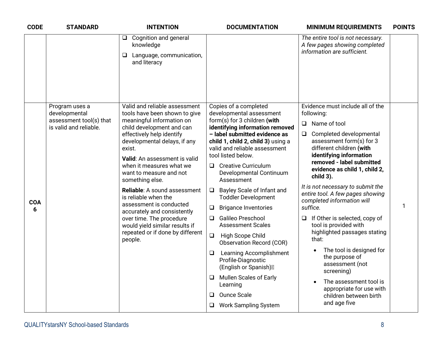| <b>CODE</b> | <b>STANDARD</b>                 | <b>INTENTION</b>                                                                                        | <b>DOCUMENTATION</b>                                                                                                                    | <b>MINIMUM REQUIREMENTS</b>                                                                                                                                                                     | <b>POINTS</b> |
|-------------|---------------------------------|---------------------------------------------------------------------------------------------------------|-----------------------------------------------------------------------------------------------------------------------------------------|-------------------------------------------------------------------------------------------------------------------------------------------------------------------------------------------------|---------------|
|             |                                 | Cognition and general<br>$\Box$<br>knowledge<br>Language, communication,<br>⊔<br>and literacy           |                                                                                                                                         | The entire tool is not necessary.<br>A few pages showing completed<br>information are sufficient.                                                                                               |               |
|             |                                 |                                                                                                         |                                                                                                                                         |                                                                                                                                                                                                 |               |
|             | Program uses a<br>developmental | Valid and reliable assessment<br>tools have been shown to give                                          | Copies of a completed<br>developmental assessment                                                                                       | Evidence must include all of the<br>following:                                                                                                                                                  |               |
|             | assessment tool(s) that         | meaningful information on                                                                               | form(s) for 3 children (with                                                                                                            | Name of tool<br>$\Box$                                                                                                                                                                          |               |
|             | is valid and reliable.          | child development and can<br>effectively help identify<br>developmental delays, if any<br>exist.        | identifying information removed<br>- label submitted evidence as<br>child 1, child 2, child 3) using a<br>valid and reliable assessment | Completed developmental<br>$\Box$<br>assessment form(s) for 3<br>different children (with<br>identifying information<br>removed - label submitted<br>evidence as child 1, child 2,<br>child 3). |               |
|             |                                 | Valid: An assessment is valid<br>when it measures what we<br>want to measure and not<br>something else. | tool listed below.<br>$\Box$ Creative Curriculum<br>Developmental Continuum<br>Assessment                                               |                                                                                                                                                                                                 |               |
| <b>COA</b>  |                                 | Reliable: A sound assessment<br>is reliable when the                                                    | Bayley Scale of Infant and<br>❏<br><b>Toddler Development</b>                                                                           | It is not necessary to submit the<br>entire tool. A few pages showing<br>completed information will                                                                                             |               |
| 6           |                                 | assessment is conducted<br>accurately and consistently                                                  | <b>Brigance Inventories</b><br>⊔                                                                                                        | suffice.                                                                                                                                                                                        | 1             |
|             |                                 | over time. The procedure<br>would yield similar results if                                              | Galileo Preschool<br>$\Box$<br><b>Assessment Scales</b>                                                                                 | If Other is selected, copy of<br>⊔<br>tool is provided with                                                                                                                                     |               |
|             |                                 | repeated or if done by different<br>people.                                                             | $\Box$<br>High Scope Child<br><b>Observation Record (COR)</b>                                                                           | highlighted passages stating<br>that:<br>The tool is designed for<br>the purpose of<br>assessment (not<br>screening)                                                                            |               |
|             |                                 |                                                                                                         | <b>Learning Accomplishment</b><br>❏<br>Profile-Diagnostic<br>(English or Spanish)                                                       |                                                                                                                                                                                                 |               |
|             |                                 |                                                                                                         | Mullen Scales of Early<br>Learning                                                                                                      | The assessment tool is<br>appropriate for use with                                                                                                                                              |               |
|             |                                 |                                                                                                         | Ounce Scale<br>◻                                                                                                                        | children between birth                                                                                                                                                                          |               |
|             |                                 |                                                                                                         | <b>Work Sampling System</b>                                                                                                             | and age five                                                                                                                                                                                    |               |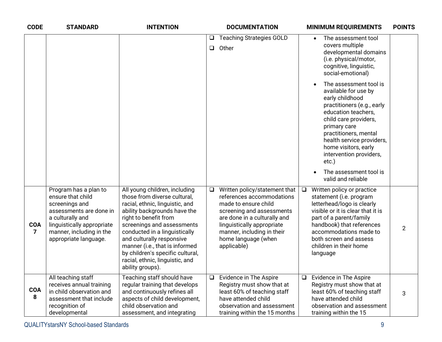| <b>CODE</b>                  | <b>STANDARD</b>                                                                                                                                                                                | <b>INTENTION</b>                                                                                                                                                                                                                                                                                                                                                                   |             | <b>DOCUMENTATION</b>                                                                                                                                                                                                                              |        | <b>MINIMUM REQUIREMENTS</b>                                                                                                                                                                                                                                                          | <b>POINTS</b>  |
|------------------------------|------------------------------------------------------------------------------------------------------------------------------------------------------------------------------------------------|------------------------------------------------------------------------------------------------------------------------------------------------------------------------------------------------------------------------------------------------------------------------------------------------------------------------------------------------------------------------------------|-------------|---------------------------------------------------------------------------------------------------------------------------------------------------------------------------------------------------------------------------------------------------|--------|--------------------------------------------------------------------------------------------------------------------------------------------------------------------------------------------------------------------------------------------------------------------------------------|----------------|
|                              |                                                                                                                                                                                                |                                                                                                                                                                                                                                                                                                                                                                                    | ❏<br>$\Box$ | <b>Teaching Strategies GOLD</b><br>Other                                                                                                                                                                                                          |        | The assessment tool<br>$\bullet$<br>covers multiple<br>developmental domains<br>(i.e. physical/motor,<br>cognitive, linguistic,<br>social-emotional)                                                                                                                                 |                |
|                              |                                                                                                                                                                                                |                                                                                                                                                                                                                                                                                                                                                                                    |             |                                                                                                                                                                                                                                                   |        | The assessment tool is<br>available for use by<br>early childhood<br>practitioners (e.g., early<br>education teachers,<br>child care providers,<br>primary care<br>practitioners, mental<br>health service providers,<br>home visitors, early<br>intervention providers,<br>$etc.$ ) |                |
|                              |                                                                                                                                                                                                |                                                                                                                                                                                                                                                                                                                                                                                    |             |                                                                                                                                                                                                                                                   |        | The assessment tool is<br>valid and reliable                                                                                                                                                                                                                                         |                |
| <b>COA</b><br>$\overline{7}$ | Program has a plan to<br>ensure that child<br>screenings and<br>assessments are done in<br>a culturally and<br>linguistically appropriate<br>manner, including in the<br>appropriate language. | All young children, including<br>those from diverse cultural,<br>racial, ethnic, linguistic, and<br>ability backgrounds have the<br>right to benefit from<br>screenings and assessments<br>conducted in a linguistically<br>and culturally responsive<br>manner (i.e., that is informed<br>by children's specific cultural,<br>racial, ethnic, linguistic, and<br>ability groups). | $\Box$      | Written policy/statement that<br>references accommodations<br>made to ensure child<br>screening and assessments<br>are done in a culturally and<br>linguistically appropriate<br>manner, including in their<br>home language (when<br>applicable) | $\Box$ | Written policy or practice<br>statement (i.e. program<br>letterhead/logo is clearly<br>visible or it is clear that it is<br>part of a parent/family<br>handbook) that references<br>accommodations made to<br>both screen and assess<br>children in their home<br>language           | $\overline{2}$ |
| <b>COA</b><br>8              | All teaching staff<br>receives annual training<br>in child observation and<br>assessment that include<br>recognition of<br>developmental                                                       | Teaching staff should have<br>regular training that develops<br>and continuously refines all<br>aspects of child development,<br>child observation and<br>assessment, and integrating                                                                                                                                                                                              | ⊔           | Evidence in The Aspire<br>Registry must show that at<br>least 60% of teaching staff<br>have attended child<br>observation and assessment<br>training within the 15 months                                                                         | $\Box$ | Evidence in The Aspire<br>Registry must show that at<br>least 60% of teaching staff<br>have attended child<br>observation and assessment<br>training within the 15                                                                                                                   | 3              |

QUALITYstarsNY School-based Standards 9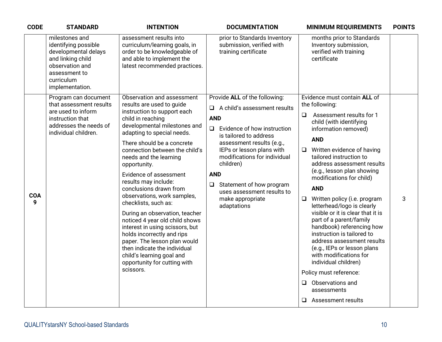| <b>CODE</b>     | <b>STANDARD</b>                                                                                                                                          | <b>INTENTION</b>                                                                                                                                                                                                                                                                                                                                                                                                                                                                                                                                                                                                                                                                                      | <b>DOCUMENTATION</b>                                                                                                                                                                                                                                                                                                                                                                 | <b>MINIMUM REQUIREMENTS</b>                                                                                                                                                                                                                                                                                                                                                                                                                                                                                                                                                                                                                                                                                                                         | <b>POINTS</b> |
|-----------------|----------------------------------------------------------------------------------------------------------------------------------------------------------|-------------------------------------------------------------------------------------------------------------------------------------------------------------------------------------------------------------------------------------------------------------------------------------------------------------------------------------------------------------------------------------------------------------------------------------------------------------------------------------------------------------------------------------------------------------------------------------------------------------------------------------------------------------------------------------------------------|--------------------------------------------------------------------------------------------------------------------------------------------------------------------------------------------------------------------------------------------------------------------------------------------------------------------------------------------------------------------------------------|-----------------------------------------------------------------------------------------------------------------------------------------------------------------------------------------------------------------------------------------------------------------------------------------------------------------------------------------------------------------------------------------------------------------------------------------------------------------------------------------------------------------------------------------------------------------------------------------------------------------------------------------------------------------------------------------------------------------------------------------------------|---------------|
|                 | milestones and<br>identifying possible<br>developmental delays<br>and linking child<br>observation and<br>assessment to<br>curriculum<br>implementation. | assessment results into<br>curriculum/learning goals, in<br>order to be knowledgeable of<br>and able to implement the<br>latest recommended practices.                                                                                                                                                                                                                                                                                                                                                                                                                                                                                                                                                | prior to Standards Inventory<br>submission, verified with<br>training certificate                                                                                                                                                                                                                                                                                                    | months prior to Standards<br>Inventory submission,<br>verified with training<br>certificate                                                                                                                                                                                                                                                                                                                                                                                                                                                                                                                                                                                                                                                         |               |
| <b>COA</b><br>9 | Program can document<br>that assessment results<br>are used to inform<br>instruction that<br>addresses the needs of<br>individual children.              | Observation and assessment<br>results are used to guide<br>instruction to support each<br>child in reaching<br>developmental milestones and<br>adapting to special needs.<br>There should be a concrete<br>connection between the child's<br>needs and the learning<br>opportunity.<br>Evidence of assessment<br>results may include:<br>conclusions drawn from<br>observations, work samples,<br>checklists, such as:<br>During an observation, teacher<br>noticed 4 year old child shows<br>interest in using scissors, but<br>holds incorrectly and rips<br>paper. The lesson plan would<br>then indicate the individual<br>child's learning goal and<br>opportunity for cutting with<br>scissors. | Provide ALL of the following:<br>A child's assessment results<br>$\Box$<br><b>AND</b><br>Evidence of how instruction<br>$\Box$<br>is tailored to address<br>assessment results (e.g.,<br>IEPs or lesson plans with<br>modifications for individual<br>children)<br><b>AND</b><br>Statement of how program<br>$\Box$<br>uses assessment results to<br>make appropriate<br>adaptations | Evidence must contain ALL of<br>the following:<br>Assessment results for 1<br>$\Box$<br>child (with identifying<br>information removed)<br><b>AND</b><br>Written evidence of having<br>$\Box$<br>tailored instruction to<br>address assessment results<br>(e.g., lesson plan showing<br>modifications for child)<br><b>AND</b><br>Written policy (i.e. program<br>$\Box$<br>letterhead/logo is clearly<br>visible or it is clear that it is<br>part of a parent/family<br>handbook) referencing how<br>instruction is tailored to<br>address assessment results<br>(e.g., IEPs or lesson plans<br>with modifications for<br>individual children)<br>Policy must reference:<br>Observations and<br>$\Box$<br>assessments<br>Assessment results<br>Q. | 3             |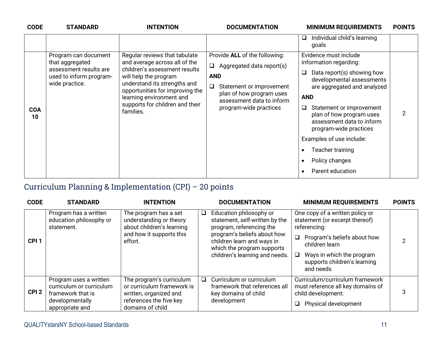| <b>CODE</b>      |                                                                                                                                   |                                                                                                                                                                                                                                             |                                                                                                                                                                                            | <b>MINIMUM REQUIREMENTS</b>                                                                                                                                                                               |                |
|------------------|-----------------------------------------------------------------------------------------------------------------------------------|---------------------------------------------------------------------------------------------------------------------------------------------------------------------------------------------------------------------------------------------|--------------------------------------------------------------------------------------------------------------------------------------------------------------------------------------------|-----------------------------------------------------------------------------------------------------------------------------------------------------------------------------------------------------------|----------------|
|                  | <b>STANDARD</b><br>Program can document<br>that aggregated<br>assessment results are<br>used to inform program-<br>wide practice. | <b>INTENTION</b><br>Regular reviews that tabulate<br>and average across all of the<br>children's assessment results<br>will help the program<br>understand its strengths and<br>opportunities for improving the<br>learning environment and | <b>DOCUMENTATION</b><br>Provide ALL of the following:<br>Aggregated data report(s)<br><b>AND</b><br>Statement or improvement<br>❏<br>plan of how program uses<br>assessment data to inform | Individual child's learning<br>u<br>goals<br>Evidence must include<br>information regarding:<br>Data report(s) showing how<br>⊔<br>developmental assessments<br>are aggregated and analyzed<br><b>AND</b> | <b>POINTS</b>  |
| <b>COA</b><br>10 |                                                                                                                                   | supports for children and their<br>families.                                                                                                                                                                                                | program-wide practices                                                                                                                                                                     | Statement or improvement<br>Q<br>plan of how program uses<br>assessment data to inform<br>program-wide practices<br>Examples of use include:<br>Teacher training<br>Policy changes                        | $\overline{2}$ |
|                  |                                                                                                                                   |                                                                                                                                                                                                                                             |                                                                                                                                                                                            | Parent education                                                                                                                                                                                          |                |

#### Curriculum Planning & Implementation (CPI) – 20 points

| <b>CODE</b>      | <b>STANDARD</b>                                                                                               | <b>INTENTION</b>                                                                                                                |        | <b>DOCUMENTATION</b>                                                                                                                                                                                               | <b>MINIMUM REQUIREMENTS</b>                                                                                                                                                                                                      | <b>POINTS</b> |
|------------------|---------------------------------------------------------------------------------------------------------------|---------------------------------------------------------------------------------------------------------------------------------|--------|--------------------------------------------------------------------------------------------------------------------------------------------------------------------------------------------------------------------|----------------------------------------------------------------------------------------------------------------------------------------------------------------------------------------------------------------------------------|---------------|
| CPI <sub>1</sub> | Program has a written<br>education philosophy or<br>statement.                                                | The program has a set<br>understanding or theory<br>about children's learning<br>and how it supports this<br>effort.            | $\Box$ | Education philosophy or<br>statement, self-written by the<br>program, referencing the<br>program's beliefs about how<br>children learn and ways in<br>which the program supports<br>children's learning and needs. | One copy of a written policy or<br>statement (or excerpt thereof)<br>referencing:<br>$\Box$<br>Program's beliefs about how<br>children learn<br>Ways in which the program<br>$\Box$<br>supports children's learning<br>and needs |               |
| CPI <sub>2</sub> | Program uses a written<br>curriculum or curriculum<br>framework that is<br>developmentally<br>appropriate and | The program's curriculum<br>or curriculum framework is<br>written, organized and<br>references the five key<br>domains of child | $\Box$ | Curriculum or curriculum<br>framework that references all<br>key domains of child<br>development                                                                                                                   | Curriculum/curriculum framework<br>must reference all key domains of<br>child development:<br>Physical development                                                                                                               | 3             |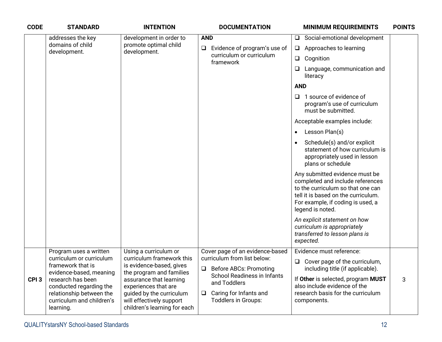| <b>CODE</b>      | <b>STANDARD</b>                                                                                                                                                                                                          | <b>INTENTION</b>                                                                                                                                                                                                                                      | <b>DOCUMENTATION</b>                                                                                                                                                                                                       | <b>MINIMUM REQUIREMENTS</b>                                                                                                                                                                                                                                                                                                                                                                                                                                                                                                                                                                                                                                            | <b>POINTS</b> |
|------------------|--------------------------------------------------------------------------------------------------------------------------------------------------------------------------------------------------------------------------|-------------------------------------------------------------------------------------------------------------------------------------------------------------------------------------------------------------------------------------------------------|----------------------------------------------------------------------------------------------------------------------------------------------------------------------------------------------------------------------------|------------------------------------------------------------------------------------------------------------------------------------------------------------------------------------------------------------------------------------------------------------------------------------------------------------------------------------------------------------------------------------------------------------------------------------------------------------------------------------------------------------------------------------------------------------------------------------------------------------------------------------------------------------------------|---------------|
|                  | addresses the key<br>domains of child<br>development.                                                                                                                                                                    | development in order to<br>promote optimal child<br>development.                                                                                                                                                                                      | <b>AND</b><br>Evidence of program's use of<br>$\Box$<br>curriculum or curriculum<br>framework                                                                                                                              | Social-emotional development<br>$\Box$<br>Approaches to learning<br>$\Box$<br>Cognition<br>$\Box$<br>$\Box$<br>Language, communication and<br>literacy<br><b>AND</b><br>1 source of evidence of<br>0<br>program's use of curriculum<br>must be submitted.<br>Acceptable examples include:<br>Lesson Plan(s)<br>$\bullet$<br>Schedule(s) and/or explicit<br>$\bullet$<br>statement of how curriculum is<br>appropriately used in lesson<br>plans or schedule<br>Any submitted evidence must be<br>completed and include references<br>to the curriculum so that one can<br>tell it is based on the curriculum.<br>For example, if coding is used, a<br>legend is noted. |               |
|                  |                                                                                                                                                                                                                          |                                                                                                                                                                                                                                                       |                                                                                                                                                                                                                            | An explicit statement on how<br>curriculum is appropriately<br>transferred to lesson plans is<br>expected.                                                                                                                                                                                                                                                                                                                                                                                                                                                                                                                                                             |               |
| CPI <sub>3</sub> | Program uses a written<br>curriculum or curriculum<br>framework that is<br>evidence-based, meaning<br>research has been<br>conducted regarding the<br>relationship between the<br>curriculum and children's<br>learning. | Using a curriculum or<br>curriculum framework this<br>is evidence-based, gives<br>the program and families<br>assurance that learning<br>experiences that are<br>guided by the curriculum<br>will effectively support<br>children's learning for each | Cover page of an evidence-based<br>curriculum from list below:<br><b>Before ABCs: Promoting</b><br>$\Box$<br><b>School Readiness in Infants</b><br>and Toddlers<br>Caring for Infants and<br>$\Box$<br>Toddlers in Groups: | Evidence must reference:<br>$\Box$ Cover page of the curriculum,<br>including title (if applicable).<br>If Other is selected, program MUST<br>also include evidence of the<br>research basis for the curriculum<br>components.                                                                                                                                                                                                                                                                                                                                                                                                                                         | 3             |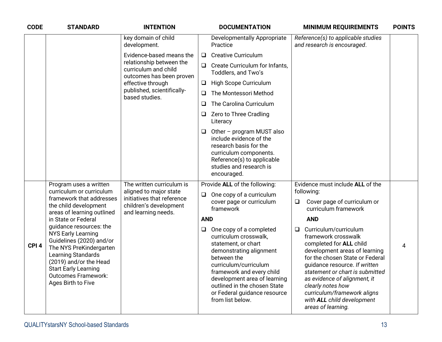| <b>CODE</b>      | <b>STANDARD</b>                                                                                                                                                                                                                                                       | <b>INTENTION</b>                                                                                                                   |                      | <b>DOCUMENTATION</b>                                                                                                                                                                                                                                                                        |        | <b>MINIMUM REQUIREMENTS</b>                                                                                                                                                                                                                                                                                                                             | <b>POINTS</b> |
|------------------|-----------------------------------------------------------------------------------------------------------------------------------------------------------------------------------------------------------------------------------------------------------------------|------------------------------------------------------------------------------------------------------------------------------------|----------------------|---------------------------------------------------------------------------------------------------------------------------------------------------------------------------------------------------------------------------------------------------------------------------------------------|--------|---------------------------------------------------------------------------------------------------------------------------------------------------------------------------------------------------------------------------------------------------------------------------------------------------------------------------------------------------------|---------------|
|                  |                                                                                                                                                                                                                                                                       | key domain of child<br>development.                                                                                                |                      | Developmentally Appropriate<br>Practice                                                                                                                                                                                                                                                     |        | Reference(s) to applicable studies<br>and research is encouraged.                                                                                                                                                                                                                                                                                       |               |
|                  |                                                                                                                                                                                                                                                                       | Evidence-based means the                                                                                                           | $\Box$               | <b>Creative Curriculum</b>                                                                                                                                                                                                                                                                  |        |                                                                                                                                                                                                                                                                                                                                                         |               |
|                  |                                                                                                                                                                                                                                                                       | relationship between the<br>curriculum and child<br>outcomes has been proven                                                       | $\Box$               | Create Curriculum for Infants,<br>Toddlers, and Two's                                                                                                                                                                                                                                       |        |                                                                                                                                                                                                                                                                                                                                                         |               |
|                  |                                                                                                                                                                                                                                                                       | effective through<br>published, scientifically-<br>based studies.                                                                  | $\Box$               | High Scope Curriculum                                                                                                                                                                                                                                                                       |        |                                                                                                                                                                                                                                                                                                                                                         |               |
|                  |                                                                                                                                                                                                                                                                       |                                                                                                                                    | $\Box$               | The Montessori Method                                                                                                                                                                                                                                                                       |        |                                                                                                                                                                                                                                                                                                                                                         |               |
|                  |                                                                                                                                                                                                                                                                       |                                                                                                                                    | $\Box$               | The Carolina Curriculum                                                                                                                                                                                                                                                                     |        |                                                                                                                                                                                                                                                                                                                                                         |               |
|                  |                                                                                                                                                                                                                                                                       |                                                                                                                                    | ❏.                   | Zero to Three Cradling<br>Literacy                                                                                                                                                                                                                                                          |        |                                                                                                                                                                                                                                                                                                                                                         |               |
|                  |                                                                                                                                                                                                                                                                       |                                                                                                                                    |                      | $\Box$ Other - program MUST also<br>include evidence of the<br>research basis for the<br>curriculum components.<br>Reference(s) to applicable<br>studies and research is<br>encouraged.                                                                                                     |        |                                                                                                                                                                                                                                                                                                                                                         |               |
|                  | Program uses a written<br>curriculum or curriculum<br>framework that addresses<br>the child development<br>areas of learning outlined                                                                                                                                 | The written curriculum is<br>aligned to major state<br>initiatives that reference<br>children's development<br>and learning needs. | $\Box$<br><b>AND</b> | Provide ALL of the following:<br>One copy of a curriculum<br>cover page or curriculum<br>framework                                                                                                                                                                                          | ❏      | Evidence must include ALL of the<br>following:<br>Cover page of curriculum or<br>curriculum framework<br><b>AND</b>                                                                                                                                                                                                                                     |               |
| CPI <sub>4</sub> | in State or Federal<br>guidance resources: the<br><b>NYS Early Learning</b><br>Guidelines (2020) and/or<br>The NYS PreKindergarten<br>Learning Standards<br>(2019) and/or the Head<br><b>Start Early Learning</b><br><b>Outcomes Framework:</b><br>Ages Birth to Five |                                                                                                                                    | $\Box$               | One copy of a completed<br>curriculum crosswalk,<br>statement, or chart<br>demonstrating alignment<br>between the<br>curriculum/curriculum<br>framework and every child<br>development area of learning<br>outlined in the chosen State<br>or Federal guidance resource<br>from list below. | $\Box$ | Curriculum/curriculum<br>framework crosswalk<br>completed for ALL child<br>development areas of learning<br>for the chosen State or Federal<br>guidance resource. If written<br>statement or chart is submitted<br>as evidence of alignment, it<br>clearly notes how<br>curriculum/framework aligns<br>with ALL child development<br>areas of learning. | 4             |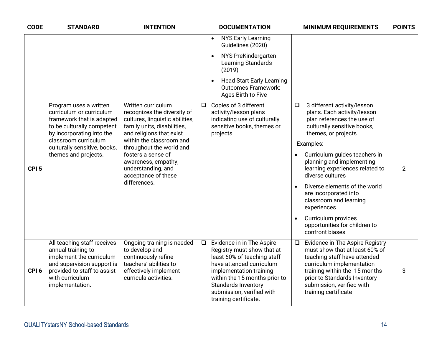| <b>CODE</b>      | <b>STANDARD</b>                                                                                                                                                                  | <b>INTENTION</b>                                                                                                                                               |        | <b>DOCUMENTATION</b>                                                                                                                                                                                                                                        |           | <b>MINIMUM REQUIREMENTS</b>                                                                                                                                                                                                                          | <b>POINTS</b>  |
|------------------|----------------------------------------------------------------------------------------------------------------------------------------------------------------------------------|----------------------------------------------------------------------------------------------------------------------------------------------------------------|--------|-------------------------------------------------------------------------------------------------------------------------------------------------------------------------------------------------------------------------------------------------------------|-----------|------------------------------------------------------------------------------------------------------------------------------------------------------------------------------------------------------------------------------------------------------|----------------|
|                  |                                                                                                                                                                                  |                                                                                                                                                                |        | <b>NYS Early Learning</b><br>$\bullet$<br>Guidelines (2020)                                                                                                                                                                                                 |           |                                                                                                                                                                                                                                                      |                |
|                  |                                                                                                                                                                                  |                                                                                                                                                                |        | NYS PreKindergarten<br>Learning Standards<br>(2019)                                                                                                                                                                                                         |           |                                                                                                                                                                                                                                                      |                |
|                  |                                                                                                                                                                                  |                                                                                                                                                                |        | <b>Head Start Early Learning</b><br><b>Outcomes Framework:</b><br>Ages Birth to Five                                                                                                                                                                        |           |                                                                                                                                                                                                                                                      |                |
|                  | Program uses a written<br>curriculum or curriculum<br>framework that is adapted<br>to be culturally competent<br>by incorporating into the                                       | Written curriculum<br>recognizes the diversity of<br>cultures, linguistic abilities,<br>family units, disabilities,<br>and religions that exist                | $\Box$ | Copies of 3 different<br>activity/lesson plans<br>indicating use of culturally<br>sensitive books, themes or<br>projects                                                                                                                                    | $\Box$    | 3 different activity/lesson<br>plans. Each activity/lesson<br>plan references the use of<br>culturally sensitive books,<br>themes, or projects                                                                                                       |                |
| CPI <sub>5</sub> | classroom curriculum<br>culturally sensitive, books,<br>themes and projects.                                                                                                     | within the classroom and<br>throughout the world and<br>fosters a sense of<br>awareness, empathy,<br>understanding, and<br>acceptance of these<br>differences. |        |                                                                                                                                                                                                                                                             |           | Examples:                                                                                                                                                                                                                                            |                |
|                  |                                                                                                                                                                                  |                                                                                                                                                                |        |                                                                                                                                                                                                                                                             |           | Curriculum guides teachers in<br>planning and implementing<br>learning experiences related to<br>diverse cultures                                                                                                                                    | $\overline{2}$ |
|                  |                                                                                                                                                                                  |                                                                                                                                                                |        |                                                                                                                                                                                                                                                             | $\bullet$ | Diverse elements of the world<br>are incorporated into<br>classroom and learning<br>experiences                                                                                                                                                      |                |
|                  |                                                                                                                                                                                  |                                                                                                                                                                |        |                                                                                                                                                                                                                                                             |           | Curriculum provides<br>opportunities for children to<br>confront biases                                                                                                                                                                              |                |
| CPI <sub>6</sub> | All teaching staff receives<br>annual training to<br>implement the curriculum<br>and supervision support is<br>provided to staff to assist<br>with curriculum<br>implementation. | Ongoing training is needed<br>to develop and<br>continuously refine<br>teachers' abilities to<br>effectively implement<br>curricula activities.                | $\Box$ | Evidence in in The Aspire<br>Registry must show that at<br>least 60% of teaching staff<br>have attended curriculum<br>implementation training<br>within the 15 months prior to<br>Standards Inventory<br>submission, verified with<br>training certificate. | $\Box$    | Evidence in The Aspire Registry<br>must show that at least 60% of<br>teaching staff have attended<br>curriculum implementation<br>training within the 15 months<br>prior to Standards Inventory<br>submission, verified with<br>training certificate | 3              |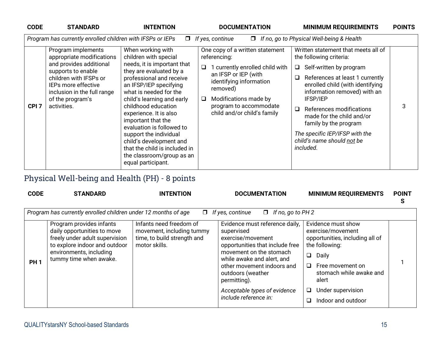| <b>CODE</b>      | <b>STANDARD</b>                                                                                  | <b>INTENTION</b>                                                                                                                      | <b>DOCUMENTATION</b>                                                                           | <b>MINIMUM REQUIREMENTS</b>                                                                                               | <b>POINTS</b> |
|------------------|--------------------------------------------------------------------------------------------------|---------------------------------------------------------------------------------------------------------------------------------------|------------------------------------------------------------------------------------------------|---------------------------------------------------------------------------------------------------------------------------|---------------|
|                  | Program has currently enrolled children with IFSPs or IEPs                                       | $\Box$                                                                                                                                | If yes, continue                                                                               | $\Box$ If no, go to Physical Well-being & Health                                                                          |               |
|                  | Program implements<br>appropriate modifications<br>and provides additional                       | When working with<br>children with special<br>needs, it is important that                                                             | One copy of a written statement<br>referencing:                                                | Written statement that meets all of<br>the following criteria:                                                            |               |
|                  | supports to enable                                                                               | they are evaluated by a                                                                                                               | 1 currently enrolled child with<br>$\Box$                                                      | $\Box$ Self-written by program                                                                                            |               |
|                  | children with IFSPs or<br>IEPs more effective<br>inclusion in the full range<br>of the program's | professional and receive<br>an IFSP/IEP specifying<br>what is needed for the<br>child's learning and early                            | an IFSP or IEP (with<br>identifying information<br>removed)<br>Modifications made by<br>$\Box$ | $\Box$<br>References at least 1 currently<br>enrolled child (with identifying<br>information removed) with an<br>IFSP/IEP |               |
| CPI <sub>7</sub> | activities.                                                                                      | childhood education<br>experience. It is also<br>important that the<br>evaluation is followed to                                      | program to accommodate<br>child and/or child's family                                          | References modifications<br>$\Box$<br>made for the child and/or<br>family by the program                                  | 3             |
|                  |                                                                                                  | support the individual<br>child's development and<br>that the child is included in<br>the classroom/group as an<br>equal participant. |                                                                                                | The specific IEP/IFSP with the<br>child's name should not be<br>included.                                                 |               |

# Physical Well-being and Health (PH) - 8 points

| <b>CODE</b> | <b>STANDARD</b>                                                                                                                                                                 | <b>INTENTION</b>                                                                                     | <b>DOCUMENTATION</b>                                                                                                                                                                                                                                                                      | <b>MINIMUM REQUIREMENTS</b>                                                                                                                                                                                                            | <b>POINT</b><br>S |
|-------------|---------------------------------------------------------------------------------------------------------------------------------------------------------------------------------|------------------------------------------------------------------------------------------------------|-------------------------------------------------------------------------------------------------------------------------------------------------------------------------------------------------------------------------------------------------------------------------------------------|----------------------------------------------------------------------------------------------------------------------------------------------------------------------------------------------------------------------------------------|-------------------|
|             | Program has currently enrolled children under 12 months of age                                                                                                                  |                                                                                                      | $\Box$ If yes, continue<br>$\Box$ If no, go to PH 2                                                                                                                                                                                                                                       |                                                                                                                                                                                                                                        |                   |
| <b>PH1</b>  | Program provides infants<br>daily opportunities to move<br>freely under adult supervision<br>to explore indoor and outdoor<br>environments, including<br>tummy time when awake. | Infants need freedom of<br>movement, including tummy<br>time, to build strength and<br>motor skills. | Evidence must reference daily,<br>supervised<br>exercise/movement<br>opportunities that include free<br>movement on the stomach<br>while awake and alert, and<br>other movement indoors and<br>outdoors (weather<br>permitting).<br>Acceptable types of evidence<br>include reference in: | Evidence must show<br>exercise/movement<br>opportunities, including all of<br>the following:<br>$\Box$<br>Daily<br>Free movement on<br>$\Box$<br>stomach while awake and<br>alert<br>Under supervision<br>□<br>Indoor and outdoor<br>□ |                   |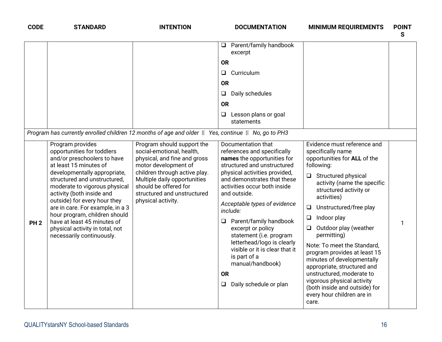| <b>CODE</b>     | <b>STANDARD</b>                                                                                                                                                                                                                                                                                                                                                                                                                           | <b>INTENTION</b>                                                                                                                                                                                                                                               | <b>DOCUMENTATION</b>                                                                                                                                                                                                                                                                                                                                                                                                                                                                                          | <b>MINIMUM REQUIREMENTS</b>                                                                                                                                                                                                                                                                                                                                                                                                                                                                                                                                          | <b>POINT</b><br>S |
|-----------------|-------------------------------------------------------------------------------------------------------------------------------------------------------------------------------------------------------------------------------------------------------------------------------------------------------------------------------------------------------------------------------------------------------------------------------------------|----------------------------------------------------------------------------------------------------------------------------------------------------------------------------------------------------------------------------------------------------------------|---------------------------------------------------------------------------------------------------------------------------------------------------------------------------------------------------------------------------------------------------------------------------------------------------------------------------------------------------------------------------------------------------------------------------------------------------------------------------------------------------------------|----------------------------------------------------------------------------------------------------------------------------------------------------------------------------------------------------------------------------------------------------------------------------------------------------------------------------------------------------------------------------------------------------------------------------------------------------------------------------------------------------------------------------------------------------------------------|-------------------|
|                 |                                                                                                                                                                                                                                                                                                                                                                                                                                           |                                                                                                                                                                                                                                                                | Parent/family handbook<br>Q.<br>excerpt                                                                                                                                                                                                                                                                                                                                                                                                                                                                       |                                                                                                                                                                                                                                                                                                                                                                                                                                                                                                                                                                      |                   |
|                 |                                                                                                                                                                                                                                                                                                                                                                                                                                           |                                                                                                                                                                                                                                                                | <b>OR</b>                                                                                                                                                                                                                                                                                                                                                                                                                                                                                                     |                                                                                                                                                                                                                                                                                                                                                                                                                                                                                                                                                                      |                   |
|                 |                                                                                                                                                                                                                                                                                                                                                                                                                                           |                                                                                                                                                                                                                                                                | Curriculum<br>$\Box$                                                                                                                                                                                                                                                                                                                                                                                                                                                                                          |                                                                                                                                                                                                                                                                                                                                                                                                                                                                                                                                                                      |                   |
|                 |                                                                                                                                                                                                                                                                                                                                                                                                                                           |                                                                                                                                                                                                                                                                | <b>OR</b>                                                                                                                                                                                                                                                                                                                                                                                                                                                                                                     |                                                                                                                                                                                                                                                                                                                                                                                                                                                                                                                                                                      |                   |
|                 |                                                                                                                                                                                                                                                                                                                                                                                                                                           |                                                                                                                                                                                                                                                                | Daily schedules<br>$\Box$                                                                                                                                                                                                                                                                                                                                                                                                                                                                                     |                                                                                                                                                                                                                                                                                                                                                                                                                                                                                                                                                                      |                   |
|                 |                                                                                                                                                                                                                                                                                                                                                                                                                                           |                                                                                                                                                                                                                                                                | <b>OR</b>                                                                                                                                                                                                                                                                                                                                                                                                                                                                                                     |                                                                                                                                                                                                                                                                                                                                                                                                                                                                                                                                                                      |                   |
|                 |                                                                                                                                                                                                                                                                                                                                                                                                                                           |                                                                                                                                                                                                                                                                | Lesson plans or goal<br>$\Box$<br>statements                                                                                                                                                                                                                                                                                                                                                                                                                                                                  |                                                                                                                                                                                                                                                                                                                                                                                                                                                                                                                                                                      |                   |
|                 | Program has currently enrolled children 12 months of age and older <b>N</b> Yes, continue <b>N</b> No, go to PH3                                                                                                                                                                                                                                                                                                                          |                                                                                                                                                                                                                                                                |                                                                                                                                                                                                                                                                                                                                                                                                                                                                                                               |                                                                                                                                                                                                                                                                                                                                                                                                                                                                                                                                                                      |                   |
| PH <sub>2</sub> | Program provides<br>opportunities for toddlers<br>and/or preschoolers to have<br>at least 15 minutes of<br>developmentally appropriate,<br>structured and unstructured,<br>moderate to vigorous physical<br>activity (both inside and<br>outside) for every hour they<br>are in care. For example, in a 3<br>hour program, children should<br>have at least 45 minutes of<br>physical activity in total, not<br>necessarily continuously. | Program should support the<br>social-emotional, health,<br>physical, and fine and gross<br>motor development of<br>children through active play.<br>Multiple daily opportunities<br>should be offered for<br>structured and unstructured<br>physical activity. | Documentation that<br>references and specifically<br>names the opportunities for<br>structured and unstructured<br>physical activities provided,<br>and demonstrates that these<br>activities occur both inside<br>and outside.<br>Acceptable types of evidence<br>include:<br>$\Box$ Parent/family handbook<br>excerpt or policy<br>statement (i.e. program<br>letterhead/logo is clearly<br>visible or it is clear that it<br>is part of a<br>manual/handbook)<br><b>OR</b><br>Daily schedule or plan<br>❏. | Evidence must reference and<br>specifically name<br>opportunities for ALL of the<br>following:<br>$\Box$ Structured physical<br>activity (name the specific<br>structured activity or<br>activities)<br>Unstructured/free play<br>$\Box$<br>Indoor play<br>❏<br>Outdoor play (weather<br>$\Box$<br>permitting)<br>Note: To meet the Standard,<br>program provides at least 15<br>minutes of developmentally<br>appropriate, structured and<br>unstructured, moderate to<br>vigorous physical activity<br>(both inside and outside) for<br>every hour children are in |                   |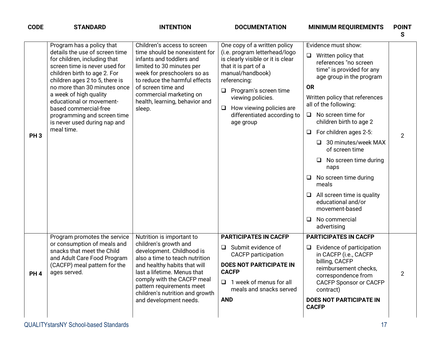| <b>CODE</b>     | <b>STANDARD</b>                                                                                                                                                                                                                                                                                                                                                                            | <b>INTENTION</b>                                                                                                                                                                                                                                                                                         | <b>DOCUMENTATION</b>                                                                                                                                                                                                                                                                                     | <b>MINIMUM REQUIREMENTS</b>                                                                                                                                                                                                                                                                                                                                                                                                                                                                                                                             | <b>POINT</b><br>S |
|-----------------|--------------------------------------------------------------------------------------------------------------------------------------------------------------------------------------------------------------------------------------------------------------------------------------------------------------------------------------------------------------------------------------------|----------------------------------------------------------------------------------------------------------------------------------------------------------------------------------------------------------------------------------------------------------------------------------------------------------|----------------------------------------------------------------------------------------------------------------------------------------------------------------------------------------------------------------------------------------------------------------------------------------------------------|---------------------------------------------------------------------------------------------------------------------------------------------------------------------------------------------------------------------------------------------------------------------------------------------------------------------------------------------------------------------------------------------------------------------------------------------------------------------------------------------------------------------------------------------------------|-------------------|
| PH <sub>3</sub> | Program has a policy that<br>details the use of screen time<br>for children, including that<br>screen time is never used for<br>children birth to age 2. For<br>children ages 2 to 5, there is<br>no more than 30 minutes once<br>a week of high quality<br>educational or movement-<br>based commercial-free<br>programming and screen time<br>is never used during nap and<br>meal time. | Children's access to screen<br>time should be nonexistent for<br>infants and toddlers and<br>limited to 30 minutes per<br>week for preschoolers so as<br>to reduce the harmful effects<br>of screen time and<br>commercial marketing on<br>health, learning, behavior and<br>sleep.                      | One copy of a written policy<br>(i.e. program letterhead/logo<br>is clearly visible or it is clear<br>that it is part of a<br>manual/handbook)<br>referencing:<br>Program's screen time<br>$\Box$<br>viewing policies.<br>How viewing policies are<br>$\Box$<br>differentiated according to<br>age group | Evidence must show:<br>$\Box$<br>Written policy that<br>references "no screen<br>time" is provided for any<br>age group in the program<br><b>OR</b><br>Written policy that references<br>all of the following:<br>$\Box$ No screen time for<br>children birth to age 2<br>For children ages 2-5:<br>$\Box$<br>$\Box$ 30 minutes/week MAX<br>of screen time<br>No screen time during<br>naps<br>No screen time during<br>$\Box$<br>meals<br>All screen time is quality<br>educational and/or<br>movement-based<br>No commercial<br>$\Box$<br>advertising | $\overline{2}$    |
| PH <sub>4</sub> | Program promotes the service<br>or consumption of meals and<br>snacks that meet the Child<br>and Adult Care Food Program<br>(CACFP) meal pattern for the<br>ages served.                                                                                                                                                                                                                   | Nutrition is important to<br>children's growth and<br>development. Childhood is<br>also a time to teach nutrition<br>and healthy habits that will<br>last a lifetime. Menus that<br>comply with the CACFP meal<br>pattern requirements meet<br>children's nutrition and growth<br>and development needs. | <b>PARTICIPATES IN CACFP</b><br>$\Box$ Submit evidence of<br><b>CACFP</b> participation<br><b>DOES NOT PARTICIPATE IN</b><br><b>CACFP</b><br>$\Box$ 1 week of menus for all<br>meals and snacks served<br><b>AND</b>                                                                                     | <b>PARTICIPATES IN CACFP</b><br>Evidence of participation<br>$\Box$<br>in CACFP (i.e., CACFP<br>billing, CACFP<br>reimbursement checks,<br>correspondence from<br><b>CACFP Sponsor or CACFP</b><br>contract)<br><b>DOES NOT PARTICIPATE IN</b><br><b>CACFP</b>                                                                                                                                                                                                                                                                                          | 2                 |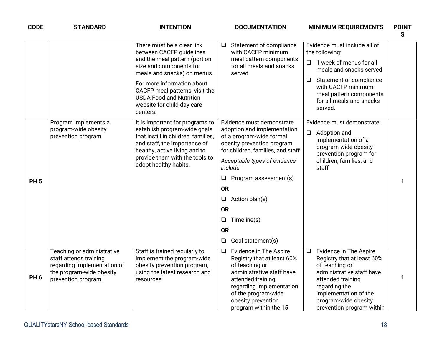| <b>CODE</b>     | <b>STANDARD</b>                                                                                                                        | <b>INTENTION</b>                                                                                                                                                                                                                                                                              | <b>DOCUMENTATION</b>                                                                                                                                                                                                                                                                                                                                         | <b>MINIMUM REQUIREMENTS</b>                                                                                                                                                                                                              | <b>POINT</b><br>S |
|-----------------|----------------------------------------------------------------------------------------------------------------------------------------|-----------------------------------------------------------------------------------------------------------------------------------------------------------------------------------------------------------------------------------------------------------------------------------------------|--------------------------------------------------------------------------------------------------------------------------------------------------------------------------------------------------------------------------------------------------------------------------------------------------------------------------------------------------------------|------------------------------------------------------------------------------------------------------------------------------------------------------------------------------------------------------------------------------------------|-------------------|
|                 |                                                                                                                                        | There must be a clear link<br>between CACFP guidelines<br>and the meal pattern (portion<br>size and components for<br>meals and snacks) on menus.<br>For more information about<br>CACFP meal patterns, visit the<br><b>USDA Food and Nutrition</b><br>website for child day care<br>centers. | Statement of compliance<br>$\Box$<br>with CACFP minimum<br>meal pattern components<br>for all meals and snacks<br>served                                                                                                                                                                                                                                     | Evidence must include all of<br>the following:<br>$\Box$ 1 week of menus for all<br>meals and snacks served<br>Statement of compliance<br>$\Box$<br>with CACFP minimum<br>meal pattern components<br>for all meals and snacks<br>served. |                   |
| <b>PH5</b>      | Program implements a<br>program-wide obesity<br>prevention program.                                                                    | It is important for programs to<br>establish program-wide goals<br>that instill in children, families,<br>and staff, the importance of<br>healthy, active living and to<br>provide them with the tools to<br>adopt healthy habits.                                                            | Evidence must demonstrate<br>adoption and implementation<br>of a program-wide formal<br>obesity prevention program<br>for children, families, and staff<br>Acceptable types of evidence<br>include:<br>Program assessment(s)<br>❏<br><b>OR</b><br>Action plan(s)<br>$\Box$<br><b>OR</b><br>Timeline(s)<br>$\Box$<br><b>OR</b><br>Goal statement(s)<br>$\Box$ | Evidence must demonstrate:<br>Adoption and<br>$\Box$<br>implementation of a<br>program-wide obesity<br>prevention program for<br>children, families, and<br>staff                                                                        | 1                 |
| PH <sub>6</sub> | Teaching or administrative<br>staff attends training<br>regarding implementation of<br>the program-wide obesity<br>prevention program. | Staff is trained regularly to<br>implement the program-wide<br>obesity prevention program,<br>using the latest research and<br>resources.                                                                                                                                                     | Evidence in The Aspire<br>$\Box$<br>Registry that at least 60%<br>of teaching or<br>administrative staff have<br>attended training<br>regarding implementation<br>of the program-wide<br>obesity prevention<br>program within the 15                                                                                                                         | Evidence in The Aspire<br>$\Box$<br>Registry that at least 60%<br>of teaching or<br>administrative staff have<br>attended training<br>regarding the<br>implementation of the<br>program-wide obesity<br>prevention program within        | 1                 |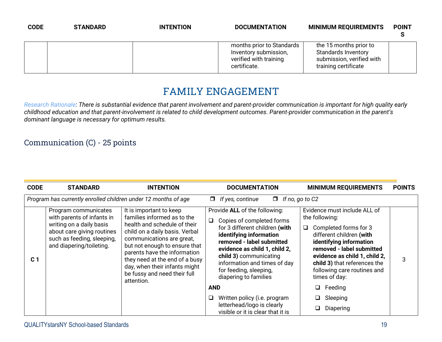| <b>CODE</b> | <b>STANDARD</b> | <b>INTENTION</b> | <b>DOCUMENTATION</b>                                                                         | <b>MINIMUM REQUIREMENTS</b>                                                                               | <b>POINT</b> |
|-------------|-----------------|------------------|----------------------------------------------------------------------------------------------|-----------------------------------------------------------------------------------------------------------|--------------|
|             |                 |                  | months prior to Standards<br>Inventory submission,<br>verified with training<br>certificate. | the 15 months prior to<br><b>Standards Inventory</b><br>submission, verified with<br>training certificate |              |

#### **FAMILY ENGAGEMENT**

*Research Rationale: There is substantial evidence that parent involvement and parent-provider communication is important for high quality early childhood education and that parent-involvement is related to child development outcomes. Parent-provider communication in the parent's dominant language is necessary for optimum results.*

#### Communication (C) - 25 points

| <b>CODE</b>    | <b>STANDARD</b>                                                                                                                                                        | <b>INTENTION</b>                                                                                                                                                                                                                                                                                                                        | <b>DOCUMENTATION</b>                                                                                                                                                                                                                                                                                                                                                                                                               | <b>MINIMUM REQUIREMENTS</b>                                                                                                                                                                                                                                                                                                | <b>POINTS</b> |
|----------------|------------------------------------------------------------------------------------------------------------------------------------------------------------------------|-----------------------------------------------------------------------------------------------------------------------------------------------------------------------------------------------------------------------------------------------------------------------------------------------------------------------------------------|------------------------------------------------------------------------------------------------------------------------------------------------------------------------------------------------------------------------------------------------------------------------------------------------------------------------------------------------------------------------------------------------------------------------------------|----------------------------------------------------------------------------------------------------------------------------------------------------------------------------------------------------------------------------------------------------------------------------------------------------------------------------|---------------|
|                | Program has currently enrolled children under 12 months of age                                                                                                         |                                                                                                                                                                                                                                                                                                                                         | $\Box$ If yes, continue<br>$\Box$ If no, go to C2                                                                                                                                                                                                                                                                                                                                                                                  |                                                                                                                                                                                                                                                                                                                            |               |
| C <sub>1</sub> | Program communicates<br>with parents of infants in<br>writing on a daily basis<br>about care giving routines<br>such as feeding, sleeping,<br>and diapering/toileting. | It is important to keep<br>families informed as to the<br>health and schedule of their<br>child on a daily basis. Verbal<br>communications are great,<br>but not enough to ensure that<br>parents have the information<br>they need at the end of a busy<br>day, when their infants might<br>be fussy and need their full<br>attention. | Provide ALL of the following:<br>Copies of completed forms<br>$\Box$<br>for 3 different children (with<br>identifying information<br>removed - label submitted<br>evidence as child 1, child 2,<br>child 3) communicating<br>information and times of day<br>for feeding, sleeping,<br>diapering to families<br><b>AND</b><br>Written policy (i.e. program<br>❏<br>letterhead/logo is clearly<br>visible or it is clear that it is | Evidence must include ALL of<br>the following:<br>Completed forms for 3<br>$\Box$<br>different children (with<br>identifying information<br>removed - label submitted<br>evidence as child 1, child 2,<br>child 3) that references the<br>following care routines and<br>times of day:<br>Feeding<br>Sleeping<br>Diapering | 3             |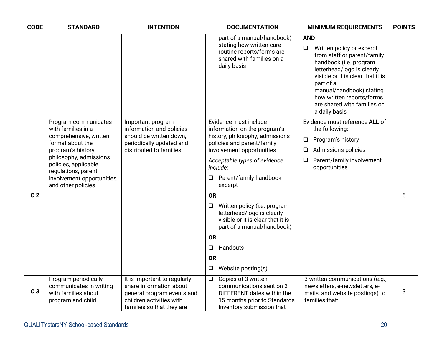| <b>CODE</b>    | <b>STANDARD</b>                                                                                                                                                                                                                              | <b>INTENTION</b>                                                                                                                               | <b>DOCUMENTATION</b>                                                                                                                                                                                                                                                                                                                                                                                                                                                      | <b>MINIMUM REQUIREMENTS</b>                                                                                                                                                                                                                                                                         | <b>POINTS</b> |
|----------------|----------------------------------------------------------------------------------------------------------------------------------------------------------------------------------------------------------------------------------------------|------------------------------------------------------------------------------------------------------------------------------------------------|---------------------------------------------------------------------------------------------------------------------------------------------------------------------------------------------------------------------------------------------------------------------------------------------------------------------------------------------------------------------------------------------------------------------------------------------------------------------------|-----------------------------------------------------------------------------------------------------------------------------------------------------------------------------------------------------------------------------------------------------------------------------------------------------|---------------|
|                |                                                                                                                                                                                                                                              |                                                                                                                                                | part of a manual/handbook)<br>stating how written care<br>routine reports/forms are<br>shared with families on a<br>daily basis                                                                                                                                                                                                                                                                                                                                           | <b>AND</b><br>Written policy or excerpt<br>$\Box$<br>from staff or parent/family<br>handbook (i.e. program<br>letterhead/logo is clearly<br>visible or it is clear that it is<br>part of a<br>manual/handbook) stating<br>how written reports/forms<br>are shared with families on<br>a daily basis |               |
| C <sub>2</sub> | Program communicates<br>with families in a<br>comprehensive, written<br>format about the<br>program's history,<br>philosophy, admissions<br>policies, applicable<br>regulations, parent<br>involvement opportunities,<br>and other policies. | Important program<br>information and policies<br>should be written down,<br>periodically updated and<br>distributed to families.               | Evidence must include<br>information on the program's<br>history, philosophy, admissions<br>policies and parent/family<br>involvement opportunities.<br>Acceptable types of evidence<br>include:<br>Parent/family handbook<br>Q.<br>excerpt<br><b>OR</b><br>Written policy (i.e. program<br>$\Box$<br>letterhead/logo is clearly<br>visible or it is clear that it is<br>part of a manual/handbook)<br><b>OR</b><br>Handouts<br>$\Box$<br><b>OR</b><br>Website posting(s) | Evidence must reference ALL of<br>the following:<br>Program's history<br>$\Box$<br><b>Admissions policies</b><br>$\Box$<br>Parent/family involvement<br>⊔<br>opportunities                                                                                                                          | 5             |
| C <sub>3</sub> | Program periodically<br>communicates in writing<br>with families about<br>program and child                                                                                                                                                  | It is important to regularly<br>share information about<br>general program events and<br>children activities with<br>families so that they are | Copies of 3 written<br>$\Box$<br>communications sent on 3<br>DIFFERENT dates within the<br>15 months prior to Standards<br>Inventory submission that                                                                                                                                                                                                                                                                                                                      | 3 written communications (e.g.,<br>newsletters, e-newsletters, e-<br>mails, and website postings) to<br>families that:                                                                                                                                                                              | 3             |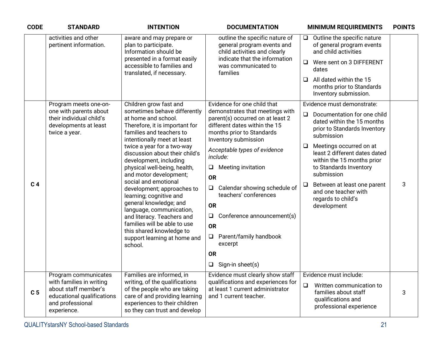| <b>CODE</b>    | <b>STANDARD</b>                                                                                                   | <b>INTENTION</b>                                                                                                                                                   | <b>DOCUMENTATION</b>                                                                                                                                      | <b>MINIMUM REQUIREMENTS</b>                                                                                                | <b>POINTS</b> |
|----------------|-------------------------------------------------------------------------------------------------------------------|--------------------------------------------------------------------------------------------------------------------------------------------------------------------|-----------------------------------------------------------------------------------------------------------------------------------------------------------|----------------------------------------------------------------------------------------------------------------------------|---------------|
|                | activities and other<br>pertinent information.                                                                    | aware and may prepare or<br>plan to participate.<br>Information should be                                                                                          | outline the specific nature of<br>general program events and<br>child activities and clearly                                                              | Outline the specific nature<br>$\Box$<br>of general program events<br>and child activities                                 |               |
|                |                                                                                                                   | presented in a format easily<br>accessible to families and<br>translated, if necessary.                                                                            | indicate that the information<br>was communicated to<br>families                                                                                          | Were sent on 3 DIFFERENT<br>$\Box$<br>dates                                                                                |               |
|                |                                                                                                                   |                                                                                                                                                                    | All dated within the 15<br>$\Box$<br>months prior to Standards<br>Inventory submission.                                                                   |                                                                                                                            |               |
|                | Program meets one-on-                                                                                             | Children grow fast and                                                                                                                                             | Evidence for one child that                                                                                                                               | Evidence must demonstrate:                                                                                                 |               |
|                | one with parents about<br>their individual child's<br>developments at least<br>twice a year.                      | sometimes behave differently<br>at home and school.<br>Therefore, it is important for<br>families and teachers to<br>intentionally meet at least                   | demonstrates that meetings with<br>parent(s) occurred on at least 2<br>different dates within the 15<br>months prior to Standards<br>Inventory submission | $\Box$<br>Documentation for one child<br>dated within the 15 months<br>prior to Standards Inventory<br>submission          |               |
|                | and motor development;                                                                                            | twice a year for a two-way<br>discussion about their child's<br>development, including<br>physical well-being, health,                                             | Acceptable types of evidence<br>include:<br><b>Meeting invitation</b><br>$\Box$                                                                           | Meetings occurred on at<br>$\Box$<br>least 2 different dates dated<br>within the 15 months prior<br>to Standards Inventory |               |
| C <sub>4</sub> |                                                                                                                   | social and emotional<br>development; approaches to<br>learning; cognitive and                                                                                      | <b>OR</b>                                                                                                                                                 | submission<br>Between at least one parent<br>$\Box$<br>and one teacher with<br>regards to child's<br>development           | 3             |
|                |                                                                                                                   |                                                                                                                                                                    | Calendar showing schedule of<br>$\Box$<br>teachers' conferences                                                                                           |                                                                                                                            |               |
|                |                                                                                                                   | general knowledge; and                                                                                                                                             | <b>OR</b>                                                                                                                                                 |                                                                                                                            |               |
|                |                                                                                                                   | language, communication,<br>and literacy. Teachers and                                                                                                             | Conference announcement(s)<br>$\Box$                                                                                                                      |                                                                                                                            |               |
|                |                                                                                                                   | families will be able to use<br>this shared knowledge to                                                                                                           | <b>OR</b>                                                                                                                                                 |                                                                                                                            |               |
|                |                                                                                                                   | support learning at home and<br>school.                                                                                                                            | Parent/family handbook<br>$\Box$<br>excerpt                                                                                                               |                                                                                                                            |               |
|                |                                                                                                                   |                                                                                                                                                                    | <b>OR</b>                                                                                                                                                 |                                                                                                                            |               |
|                |                                                                                                                   |                                                                                                                                                                    | $\Box$<br>Sign-in sheet(s)                                                                                                                                |                                                                                                                            |               |
|                | Program communicates                                                                                              | Families are informed, in                                                                                                                                          | Evidence must clearly show staff<br>qualifications and experiences for                                                                                    | Evidence must include:                                                                                                     |               |
| C <sub>5</sub> | with families in writing<br>about staff member's<br>educational qualifications<br>and professional<br>experience. | writing, of the qualifications<br>of the people who are taking<br>care of and providing learning<br>experiences to their children<br>so they can trust and develop | at least 1 current administrator<br>and 1 current teacher.                                                                                                | $\Box$<br>Written communication to<br>families about staff<br>qualifications and<br>professional experience                | 3             |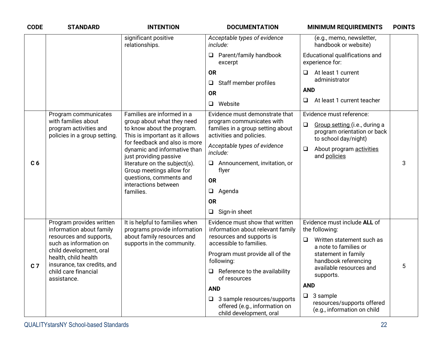| <b>CODE</b>    | <b>STANDARD</b>                                                                | <b>INTENTION</b>                                                                           | <b>DOCUMENTATION</b>                                                                           | <b>MINIMUM REQUIREMENTS</b>                                                                    | <b>POINTS</b> |
|----------------|--------------------------------------------------------------------------------|--------------------------------------------------------------------------------------------|------------------------------------------------------------------------------------------------|------------------------------------------------------------------------------------------------|---------------|
|                |                                                                                | significant positive<br>relationships.                                                     | Acceptable types of evidence<br>include:                                                       | (e.g., memo, newsletter,<br>handbook or website)                                               |               |
|                |                                                                                |                                                                                            | Parent/family handbook<br>$\Box$<br>excerpt                                                    | Educational qualifications and<br>experience for:                                              |               |
|                |                                                                                |                                                                                            | <b>OR</b><br>Staff member profiles<br>❏                                                        | At least 1 current<br>$\Box$<br>administrator                                                  |               |
|                |                                                                                |                                                                                            | <b>OR</b>                                                                                      | <b>AND</b>                                                                                     |               |
|                |                                                                                |                                                                                            | Website<br>$\Box$                                                                              | At least 1 current teacher<br>❏                                                                |               |
|                | Program communicates                                                           | Families are informed in a                                                                 | Evidence must demonstrate that                                                                 | Evidence must reference:                                                                       |               |
|                | with families about<br>program activities and<br>policies in a group setting.  | group about what they need<br>to know about the program.<br>This is important as it allows | program communicates with<br>families in a group setting about<br>activities and policies.     | $\Box$<br>Group setting (i.e., during a<br>program orientation or back<br>to school day/night) |               |
|                |                                                                                | for feedback and also is more<br>dynamic and informative than<br>just providing passive    | Acceptable types of evidence<br>include:                                                       | About program activities<br>❏<br>and policies                                                  |               |
| C <sub>6</sub> |                                                                                | literature on the subject(s).<br>Group meetings allow for                                  | Announcement, invitation, or<br>$\Box$<br>flyer                                                |                                                                                                | 3             |
|                |                                                                                | questions, comments and<br>interactions between                                            | <b>OR</b>                                                                                      |                                                                                                |               |
|                |                                                                                | families.                                                                                  | $\Box$<br>Agenda                                                                               |                                                                                                |               |
|                |                                                                                |                                                                                            | <b>OR</b>                                                                                      |                                                                                                |               |
|                |                                                                                |                                                                                            | Sign-in sheet<br>$\Box$                                                                        |                                                                                                |               |
|                | Program provides written<br>information about family                           | It is helpful to families when<br>programs provide information                             | Evidence must show that written<br>information about relevant family                           | Evidence must include ALL of<br>the following:                                                 |               |
|                | resources and supports,<br>such as information on                              | about family resources and<br>supports in the community.                                   | resources and supports is<br>accessible to families.                                           | $\Box$<br>Written statement such as<br>a note to families or                                   |               |
|                | child development, oral<br>health, child health<br>insurance, tax credits, and |                                                                                            | Program must provide all of the<br>following:                                                  | statement in family<br>handbook referencing                                                    |               |
| C <sub>7</sub> | child care financial<br>assistance.                                            |                                                                                            | $\Box$ Reference to the availability<br>of resources                                           | available resources and<br>supports.                                                           | 5             |
|                |                                                                                |                                                                                            | <b>AND</b>                                                                                     | <b>AND</b>                                                                                     |               |
|                |                                                                                |                                                                                            | $\Box$ 3 sample resources/supports<br>offered (e.g., information on<br>child development, oral | $\Box$<br>3 sample<br>resources/supports offered<br>(e.g., information on child                |               |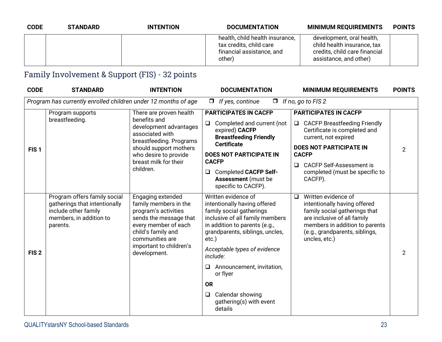| <b>CODE</b> | <b>STANDARD</b> | <b>INTENTION</b> | <b>DOCUMENTATION</b>                                                                              | <b>MINIMUM REQUIREMENTS</b>                                                                                         | <b>POINTS</b> |
|-------------|-----------------|------------------|---------------------------------------------------------------------------------------------------|---------------------------------------------------------------------------------------------------------------------|---------------|
|             |                 |                  | health, child health insurance,<br>tax credits, child care<br>financial assistance, and<br>other) | development, oral health,<br>child health insurance, tax<br>credits, child care financial<br>assistance, and other) |               |

#### Family Involvement & Support (FIS) - 32 points

| <b>CODE</b>      | <b>STANDARD</b>                                                                                                              | <b>INTENTION</b>                                                                                                                                                                                         | <b>DOCUMENTATION</b>                                                                                                                                                                                                                                                                                                                                                     | <b>MINIMUM REQUIREMENTS</b>                                                                                                                                                                                                                                             | <b>POINTS</b> |
|------------------|------------------------------------------------------------------------------------------------------------------------------|----------------------------------------------------------------------------------------------------------------------------------------------------------------------------------------------------------|--------------------------------------------------------------------------------------------------------------------------------------------------------------------------------------------------------------------------------------------------------------------------------------------------------------------------------------------------------------------------|-------------------------------------------------------------------------------------------------------------------------------------------------------------------------------------------------------------------------------------------------------------------------|---------------|
|                  | Program has currently enrolled children under 12 months of age                                                               |                                                                                                                                                                                                          | If yes, continue<br>$\Box$<br>$\Box$                                                                                                                                                                                                                                                                                                                                     | If no, go to FIS 2                                                                                                                                                                                                                                                      |               |
| FIS <sub>1</sub> | Program supports<br>breastfeeding.                                                                                           | There are proven health<br>benefits and<br>development advantages<br>associated with<br>breastfeeding. Programs<br>should support mothers<br>who desire to provide<br>breast milk for their<br>children. | <b>PARTICIPATES IN CACFP</b><br>Completed and current (not<br>$\Box$<br>expired) CACFP<br><b>Breastfeeding Friendly</b><br><b>Certificate</b><br><b>DOES NOT PARTICIPATE IN</b><br><b>CACFP</b><br><b>Completed CACFP Self-</b><br>$\Box$<br><b>Assessment</b> (must be<br>specific to CACFP).                                                                           | <b>PARTICIPATES IN CACFP</b><br>$\Box$ CACFP Breastfeeding Friendly<br>Certificate is completed and<br>current, not expired<br><b>DOES NOT PARTICIPATE IN</b><br><b>CACFP</b><br><b>CACFP Self-Assessment is</b><br>$\Box$<br>completed (must be specific to<br>CACFP). | 2             |
| FIS <sub>2</sub> | Program offers family social<br>gatherings that intentionally<br>include other family<br>members, in addition to<br>parents. | Engaging extended<br>family members in the<br>program's activities<br>sends the message that<br>every member of each<br>child's family and<br>communities are<br>important to children's<br>development. | Written evidence of<br>intentionally having offered<br>family social gatherings<br>inclusive of all family members<br>in addition to parents (e.g.,<br>grandparents, siblings, uncles,<br>$etc.$ )<br>Acceptable types of evidence<br>include:<br>Announcement, invitation,<br>⊔<br>or flyer<br><b>OR</b><br>Calendar showing<br>□<br>gathering(s) with event<br>details | Written evidence of<br>$\Box$<br>intentionally having offered<br>family social gatherings that<br>are inclusive of all family<br>members in addition to parents<br>(e.g., grandparents, siblings,<br>uncles, etc.)                                                      | 2             |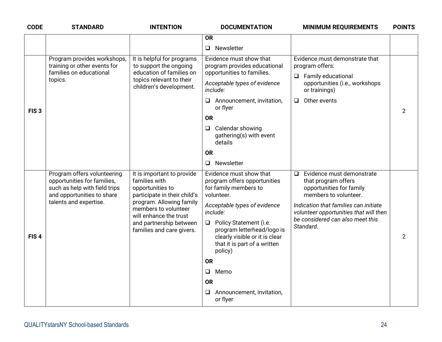| <b>CODE</b>      | <b>STANDARD</b>                                                                                                                                     | <b>INTENTION</b>                                                                                                                                                                                                                      | <b>DOCUMENTATION</b>                                                                                                                                                                                                                                                                                                                                                                                        | <b>MINIMUM REQUIREMENTS</b>                                                                                                                                                                                                                      | <b>POINTS</b>  |
|------------------|-----------------------------------------------------------------------------------------------------------------------------------------------------|---------------------------------------------------------------------------------------------------------------------------------------------------------------------------------------------------------------------------------------|-------------------------------------------------------------------------------------------------------------------------------------------------------------------------------------------------------------------------------------------------------------------------------------------------------------------------------------------------------------------------------------------------------------|--------------------------------------------------------------------------------------------------------------------------------------------------------------------------------------------------------------------------------------------------|----------------|
|                  |                                                                                                                                                     |                                                                                                                                                                                                                                       | <b>OR</b>                                                                                                                                                                                                                                                                                                                                                                                                   |                                                                                                                                                                                                                                                  |                |
|                  |                                                                                                                                                     |                                                                                                                                                                                                                                       | Newsletter<br>$\Box$                                                                                                                                                                                                                                                                                                                                                                                        |                                                                                                                                                                                                                                                  |                |
| FIS <sub>3</sub> | Program provides workshops,<br>training or other events for<br>families on educational<br>topics.                                                   | It is helpful for programs<br>to support the ongoing<br>education of families on<br>topics relevant to their<br>children's development.                                                                                               | Evidence must show that<br>program provides educational<br>opportunities to families.<br>Acceptable types of evidence<br>include:<br>$\Box$ Announcement, invitation,<br>or flyer<br><b>OR</b><br>Calendar showing<br>□<br>gathering(s) with event<br>details<br><b>OR</b>                                                                                                                                  | Evidence must demonstrate that<br>program offers:<br>$\Box$ Family educational<br>opportunities (i.e., workshops<br>or trainings)<br>Other events<br>$\Box$                                                                                      | $\overline{2}$ |
| FIS <sub>4</sub> | Program offers volunteering<br>opportunities for families,<br>such as help with field trips<br>and opportunities to share<br>talents and expertise. | It is important to provide<br>families with<br>opportunities to<br>participate in their child's<br>program. Allowing family<br>members to volunteer<br>will enhance the trust<br>and partnership between<br>families and care givers. | Newsletter<br>$\Box$<br>Evidence must show that<br>program offers opportunities<br>for family members to<br>volunteer.<br>Acceptable types of evidence<br>include:<br>Policy Statement (i.e.<br>$\Box$<br>program letterhead/logo is<br>clearly visible or it is clear<br>that it is part of a written<br>policy)<br><b>OR</b><br>Memo<br>$\Box$<br><b>OR</b><br>Announcement, invitation,<br>⊔<br>or flyer | $\Box$ Evidence must demonstrate<br>that program offers<br>opportunities for family<br>members to volunteer.<br>Indication that families can initiate<br>volunteer opportunities that will then<br>be considered can also meet this<br>Standard. | $\overline{2}$ |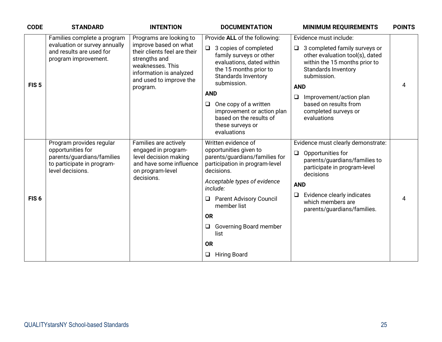| <b>CODE</b>      | <b>STANDARD</b>                                                                                                               | <b>INTENTION</b>                                                                                                                                                                        | <b>DOCUMENTATION</b>                                                                                                                                                                                                                                                                                                                         | <b>MINIMUM REQUIREMENTS</b>                                                                                                                                                                                                                                                                           | <b>POINTS</b> |
|------------------|-------------------------------------------------------------------------------------------------------------------------------|-----------------------------------------------------------------------------------------------------------------------------------------------------------------------------------------|----------------------------------------------------------------------------------------------------------------------------------------------------------------------------------------------------------------------------------------------------------------------------------------------------------------------------------------------|-------------------------------------------------------------------------------------------------------------------------------------------------------------------------------------------------------------------------------------------------------------------------------------------------------|---------------|
| FIS <sub>5</sub> | Families complete a program<br>evaluation or survey annually<br>and results are used for<br>program improvement.              | Programs are looking to<br>improve based on what<br>their clients feel are their<br>strengths and<br>weaknesses. This<br>information is analyzed<br>and used to improve the<br>program. | Provide ALL of the following:<br>3 copies of completed<br>$\Box$<br>family surveys or other<br>evaluations, dated within<br>the 15 months prior to<br><b>Standards Inventory</b><br>submission.<br><b>AND</b><br>One copy of a written<br>$\Box$<br>improvement or action plan<br>based on the results of<br>these surveys or<br>evaluations | Evidence must include:<br>3 completed family surveys or<br>$\Box$<br>other evaluation tool(s), dated<br>within the 15 months prior to<br><b>Standards Inventory</b><br>submission.<br><b>AND</b><br>$\Box$<br>Improvement/action plan<br>based on results from<br>completed surveys or<br>evaluations | 4             |
| FIS <sub>6</sub> | Program provides regular<br>opportunities for<br>parents/guardians/families<br>to participate in program-<br>level decisions. | Families are actively<br>engaged in program-<br>level decision making<br>and have some influence<br>on program-level<br>decisions.                                                      | Written evidence of<br>opportunities given to<br>parents/guardians/families for<br>participation in program-level<br>decisions.<br>Acceptable types of evidence<br>include:<br><b>Parent Advisory Council</b><br>❏<br>member list<br><b>OR</b><br>Governing Board member<br>$\Box$<br>list<br><b>OR</b><br><b>Hiring Board</b><br>$\Box$     | Evidence must clearly demonstrate:<br>Opportunities for<br>$\Box$<br>parents/guardians/families to<br>participate in program-level<br>decisions<br><b>AND</b><br>Evidence clearly indicates<br>$\Box$<br>which members are<br>parents/guardians/families.                                             | 4             |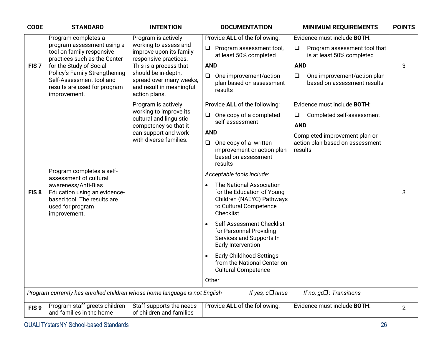| <b>CODE</b>      | <b>STANDARD</b>                                                                                                        | <b>INTENTION</b>                                                                            | <b>DOCUMENTATION</b>                                                                                                       | <b>MINIMUM REQUIREMENTS</b>                                          | <b>POINTS</b>  |
|------------------|------------------------------------------------------------------------------------------------------------------------|---------------------------------------------------------------------------------------------|----------------------------------------------------------------------------------------------------------------------------|----------------------------------------------------------------------|----------------|
|                  | Program completes a                                                                                                    | Program is actively                                                                         | Provide ALL of the following:                                                                                              | Evidence must include BOTH:                                          |                |
|                  | program assessment using a<br>tool on family responsive<br>practices such as the Center                                | working to assess and<br>improve upon its family<br>responsive practices.                   | Program assessment tool,<br>$\Box$<br>at least 50% completed                                                               | Program assessment tool that<br>$\Box$<br>is at least 50% completed  |                |
| FIS <sub>7</sub> | for the Study of Social                                                                                                | This is a process that                                                                      | <b>AND</b>                                                                                                                 | <b>AND</b>                                                           | 3              |
|                  | Policy's Family Strengthening<br>Self-Assessment tool and<br>results are used for program<br>improvement.              | should be in-depth,<br>spread over many weeks,<br>and result in meaningful<br>action plans. | One improvement/action<br>$\Box$<br>plan based on assessment<br>results                                                    | One improvement/action plan<br>$\Box$<br>based on assessment results |                |
|                  |                                                                                                                        | Program is actively                                                                         | Provide ALL of the following:                                                                                              | Evidence must include <b>BOTH:</b>                                   |                |
|                  |                                                                                                                        | working to improve its<br>cultural and linguistic<br>competency so that it                  | One copy of a completed<br>$\Box$<br>self-assessment                                                                       | Completed self-assessment<br>$\Box$<br><b>AND</b>                    |                |
|                  |                                                                                                                        | can support and work                                                                        | <b>AND</b>                                                                                                                 | Completed improvement plan or                                        |                |
|                  |                                                                                                                        | with diverse families.                                                                      | One copy of a written<br>$\Box$<br>improvement or action plan<br>based on assessment<br>results                            | action plan based on assessment<br>results                           |                |
|                  | Program completes a self-<br>assessment of cultural                                                                    |                                                                                             | Acceptable tools include:                                                                                                  |                                                                      |                |
| FIS <sub>8</sub> | awareness/Anti-Bias<br>Education using an evidence-<br>based tool. The results are<br>used for program<br>improvement. |                                                                                             | The National Association<br>for the Education of Young<br>Children (NAEYC) Pathways<br>to Cultural Competence<br>Checklist |                                                                      | 3              |
|                  |                                                                                                                        |                                                                                             | Self-Assessment Checklist<br>$\bullet$<br>for Personnel Providing<br>Services and Supports In<br>Early Intervention        |                                                                      |                |
|                  |                                                                                                                        |                                                                                             | <b>Early Childhood Settings</b><br>$\bullet$<br>from the National Center on<br><b>Cultural Competence</b>                  |                                                                      |                |
|                  |                                                                                                                        |                                                                                             | Other                                                                                                                      |                                                                      |                |
|                  | Program currently has enrolled children whose home language is not English                                             |                                                                                             | If yes, $c\Box$ tinue                                                                                                      | If no, $gc\Box$ Transitions                                          |                |
| FIS <sub>9</sub> | Program staff greets children<br>and families in the home                                                              | Staff supports the needs<br>of children and families                                        | Provide ALL of the following:                                                                                              | Evidence must include BOTH:                                          | $\overline{2}$ |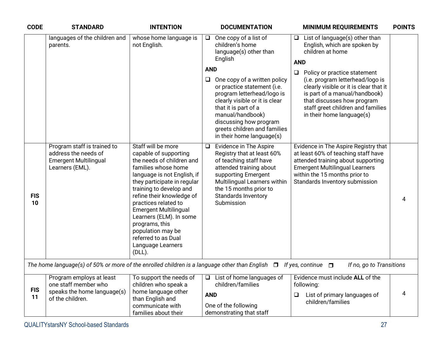| <b>CODE</b>      | <b>STANDARD</b>                                                                                        | <b>INTENTION</b>                                                                                                                                                                                                                                                                                                                                                                                         | <b>DOCUMENTATION</b><br><b>MINIMUM REQUIREMENTS</b>                                                                                                                                                                                                                                                                                                                                                                                                                                                                                                                                                                                                                                                                                       | <b>POINTS</b> |
|------------------|--------------------------------------------------------------------------------------------------------|----------------------------------------------------------------------------------------------------------------------------------------------------------------------------------------------------------------------------------------------------------------------------------------------------------------------------------------------------------------------------------------------------------|-------------------------------------------------------------------------------------------------------------------------------------------------------------------------------------------------------------------------------------------------------------------------------------------------------------------------------------------------------------------------------------------------------------------------------------------------------------------------------------------------------------------------------------------------------------------------------------------------------------------------------------------------------------------------------------------------------------------------------------------|---------------|
|                  | languages of the children and<br>parents.                                                              | whose home language is<br>not English.                                                                                                                                                                                                                                                                                                                                                                   | One copy of a list of<br>List of language(s) other than<br>$\Box$<br>$\Box$<br>children's home<br>English, which are spoken by<br>children at home<br>language(s) other than<br>English<br><b>AND</b><br><b>AND</b><br>Policy or practice statement<br>(i.e. program letterhead/logo is<br>One copy of a written policy<br>⊔<br>or practice statement (i.e.<br>clearly visible or it is clear that it<br>program letterhead/logo is<br>is part of a manual/handbook)<br>clearly visible or it is clear<br>that discusses how program<br>staff greet children and families<br>that it is part of a<br>manual/handbook)<br>in their home language(s)<br>discussing how program<br>greets children and families<br>in their home language(s) |               |
| <b>FIS</b><br>10 | Program staff is trained to<br>address the needs of<br><b>Emergent Multilingual</b><br>Learners (EML). | Staff will be more<br>capable of supporting<br>the needs of children and<br>families whose home<br>language is not English, if<br>they participate in regular<br>training to develop and<br>refine their knowledge of<br>practices related to<br><b>Emergent Multilingual</b><br>Learners (ELM). In some<br>programs, this<br>population may be<br>referred to as Dual<br>Language Learners<br>$(DLL)$ . | Evidence in The Aspire<br>Evidence in The Aspire Registry that<br>$\Box$<br>Registry that at least 60%<br>at least 60% of teaching staff have<br>of teaching staff have<br>attended training about supporting<br>attended training about<br><b>Emergent Multilingual Learners</b><br>within the 15 months prior to<br>supporting Emergent<br>Multilingual Learners within<br>Standards Inventory submission<br>the 15 months prior to<br>Standards Inventory<br>Submission                                                                                                                                                                                                                                                                | 4             |
|                  | The home language(s) of 50% or more of the enrolled children is a language other than English          |                                                                                                                                                                                                                                                                                                                                                                                                          | If yes, continue $\Box$<br>If no, go to Transitions<br>$\Box$                                                                                                                                                                                                                                                                                                                                                                                                                                                                                                                                                                                                                                                                             |               |
| <b>FIS</b><br>11 | Program employs at least<br>one staff member who<br>speaks the home language(s)<br>of the children.    | To support the needs of<br>children who speak a<br>home language other<br>than English and<br>communicate with<br>families about their                                                                                                                                                                                                                                                                   | Evidence must include ALL of the<br>List of home languages of<br>$\Box$<br>children/families<br>following:<br><b>AND</b><br>List of primary languages of<br>$\Box$<br>children/families<br>One of the following<br>demonstrating that staff                                                                                                                                                                                                                                                                                                                                                                                                                                                                                               | 4             |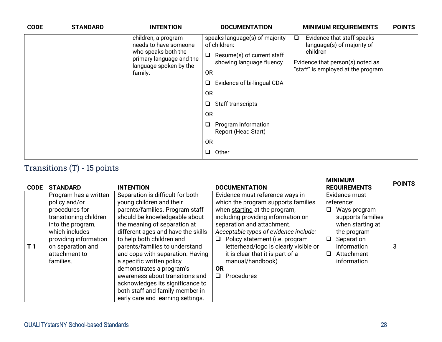| <b>CODE</b> | <b>STANDARD</b> | <b>INTENTION</b>                                                                     | <b>DOCUMENTATION</b>                                                                                                                                                                   | <b>MINIMUM REQUIREMENTS</b>                                                        | <b>POINTS</b> |
|-------------|-----------------|--------------------------------------------------------------------------------------|----------------------------------------------------------------------------------------------------------------------------------------------------------------------------------------|------------------------------------------------------------------------------------|---------------|
|             |                 | children, a program<br>needs to have someone                                         | speaks language(s) of majority<br>of children:                                                                                                                                         | Evidence that staff speaks<br>$\Box$<br>language(s) of majority of                 |               |
|             |                 | who speaks both the<br>primary language and the<br>language spoken by the<br>family. | Resume(s) of current staff<br>$\overline{\phantom{a}}$<br>showing language fluency<br><b>OR</b><br>Evidence of bi-lingual CDA<br>❏<br><b>OR</b><br>Staff transcripts<br>❏<br><b>OR</b> | children<br>Evidence that person(s) noted as<br>"staff" is employed at the program |               |
|             |                 | Program Information<br>Report (Head Start)                                           |                                                                                                                                                                                        |                                                                                    |               |
|             |                 |                                                                                      | <b>OR</b>                                                                                                                                                                              |                                                                                    |               |
|             |                 |                                                                                      | Other<br>❏                                                                                                                                                                             |                                                                                    |               |

#### Transitions (T) - 15 points

| <b>CODE</b>    | <b>STANDARD</b>                                                                                                                                                                                       | <b>INTENTION</b>                                                                                                                                                                                                                                                                                                                                                                                                                                                                                                  | <b>DOCUMENTATION</b>                                                                                                                                                                                                                                                                                                                                                                                | <b>MINIMUM</b><br><b>REQUIREMENTS</b>                                                                                                                              | <b>POINTS</b> |
|----------------|-------------------------------------------------------------------------------------------------------------------------------------------------------------------------------------------------------|-------------------------------------------------------------------------------------------------------------------------------------------------------------------------------------------------------------------------------------------------------------------------------------------------------------------------------------------------------------------------------------------------------------------------------------------------------------------------------------------------------------------|-----------------------------------------------------------------------------------------------------------------------------------------------------------------------------------------------------------------------------------------------------------------------------------------------------------------------------------------------------------------------------------------------------|--------------------------------------------------------------------------------------------------------------------------------------------------------------------|---------------|
| T <sub>1</sub> | Program has a written<br>policy and/or<br>procedures for<br>transitioning children<br>into the program,<br>which includes<br>providing information<br>on separation and<br>attachment to<br>families. | Separation is difficult for both<br>young children and their<br>parents/families. Program staff<br>should be knowledgeable about<br>the meaning of separation at<br>different ages and have the skills<br>to help both children and<br>parents/families to understand<br>and cope with separation. Having<br>a specific written policy<br>demonstrates a program's<br>awareness about transitions and<br>acknowledges its significance to<br>both staff and family member in<br>early care and learning settings. | Evidence must reference ways in<br>which the program supports families<br>when starting at the program,<br>including providing information on<br>separation and attachment.<br>Acceptable types of evidence include:<br>Policy statement (i.e. program<br>$\Box$<br>letterhead/logo is clearly visible or<br>it is clear that it is part of a<br>manual/handbook)<br><b>OR</b><br>$\Box$ Procedures | Evidence must<br>reference:<br>Ways program<br>supports families<br>when starting at<br>the program<br>Separation<br>□<br>information<br>Attachment<br>information | 3             |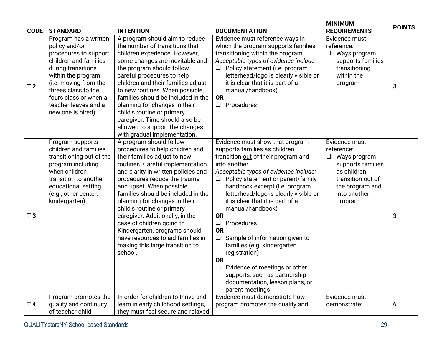| <b>CODE</b>    | <b>STANDARD</b>                                                                                                                                                                                                                                             | <b>INTENTION</b>                                                                                                                                                                                                                                                                                                                                                                                                                                                                                                            | <b>DOCUMENTATION</b>                                                                                                                                                                                                                                                                                                                                                                                                                                                                                                                                                                                                                          | <b>MINIMUM</b><br><b>REQUIREMENTS</b>                                                                                                                        | <b>POINTS</b> |
|----------------|-------------------------------------------------------------------------------------------------------------------------------------------------------------------------------------------------------------------------------------------------------------|-----------------------------------------------------------------------------------------------------------------------------------------------------------------------------------------------------------------------------------------------------------------------------------------------------------------------------------------------------------------------------------------------------------------------------------------------------------------------------------------------------------------------------|-----------------------------------------------------------------------------------------------------------------------------------------------------------------------------------------------------------------------------------------------------------------------------------------------------------------------------------------------------------------------------------------------------------------------------------------------------------------------------------------------------------------------------------------------------------------------------------------------------------------------------------------------|--------------------------------------------------------------------------------------------------------------------------------------------------------------|---------------|
| T <sub>2</sub> | Program has a written<br>policy and/or<br>procedures to support<br>children and families<br>during transitions<br>within the program<br>(i.e. moving from the<br>threes class to the<br>fours class or when a<br>teacher leaves and a<br>new one is hired). | A program should aim to reduce<br>the number of transitions that<br>children experience. However,<br>some changes are inevitable and<br>the program should follow<br>careful procedures to help<br>children and their families adjust<br>to new routines. When possible,<br>families should be included in the<br>planning for changes in their<br>child's routine or primary<br>caregiver. Time should also be<br>allowed to support the changes<br>with gradual implementation.                                           | Evidence must reference ways in<br>which the program supports families<br>transitioning within the program.<br>Acceptable types of evidence include:<br>Policy statement (i.e. program<br>$\Box$<br>letterhead/logo is clearly visible or<br>it is clear that it is part of a<br>manual/handbook)<br><b>OR</b><br>Procedures<br>$\Box$                                                                                                                                                                                                                                                                                                        | Evidence must<br>reference:<br>$\Box$<br>Ways program<br>supports families<br>transitioning<br>within the<br>program                                         | 3             |
| T <sub>3</sub> | Program supports<br>children and families<br>transitioning out of the<br>program including<br>when children<br>transition to another<br>educational setting<br>(e.g., other center,<br>kindergarten).                                                       | A program should follow<br>procedures to help children and<br>their families adjust to new<br>routines. Careful implementation<br>and clarity in written policies and<br>procedures reduce the trauma<br>and upset. When possible,<br>families should be included in the<br>planning for changes in their<br>child's routine or primary<br>caregiver. Additionally, in the<br>case of children going to<br>Kindergarten, programs should<br>have resources to aid families in<br>making this large transition to<br>school. | Evidence must show that program<br>supports families as children<br>transition out of their program and<br>into another.<br>Acceptable types of evidence include:<br>$\Box$ Policy statement or parent/family<br>handbook excerpt (i.e. program<br>letterhead/logo is clearly visible or<br>it is clear that it is part of a<br>manual/handbook)<br><b>OR</b><br>Procedures<br>$\Box$<br><b>OR</b><br>$\Box$<br>Sample of information given to<br>families (e.g. kindergarten<br>registration)<br><b>OR</b><br>Evidence of meetings or other<br>$\Box$<br>supports, such as partnership<br>documentation, lesson plans, or<br>parent meetings | Evidence must<br>reference:<br>Ways program<br>$\Box$<br>supports families<br>as children<br>transition out of<br>the program and<br>into another<br>program | 3             |
| T <sub>4</sub> | Program promotes the<br>quality and continuity                                                                                                                                                                                                              | In order for children to thrive and<br>learn in early childhood settings,                                                                                                                                                                                                                                                                                                                                                                                                                                                   | Evidence must demonstrate how<br>program promotes the quality and                                                                                                                                                                                                                                                                                                                                                                                                                                                                                                                                                                             | Evidence must<br>demonstrate:                                                                                                                                | 6             |
|                | of teacher-child                                                                                                                                                                                                                                            | they must feel secure and relaxed                                                                                                                                                                                                                                                                                                                                                                                                                                                                                           |                                                                                                                                                                                                                                                                                                                                                                                                                                                                                                                                                                                                                                               |                                                                                                                                                              |               |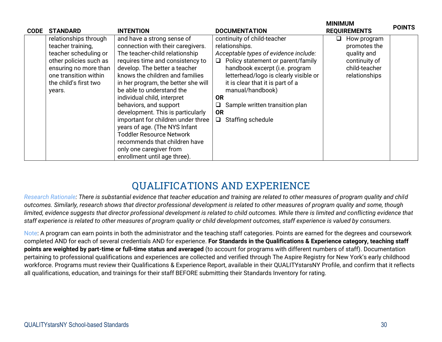| <b>CODE</b> | <b>STANDARD</b>                                                                                                                                                                    | <b>INTENTION</b>                                                                                                                                                                                                                                                                                                                                                                                                                                                                                                                                                                  | <b>DOCUMENTATION</b>                                                                                                                                                                                                                                                                                                                                        | <b>IVIINIMUM</b><br><b>REQUIREMENTS</b>                                                            | <b>POINTS</b> |
|-------------|------------------------------------------------------------------------------------------------------------------------------------------------------------------------------------|-----------------------------------------------------------------------------------------------------------------------------------------------------------------------------------------------------------------------------------------------------------------------------------------------------------------------------------------------------------------------------------------------------------------------------------------------------------------------------------------------------------------------------------------------------------------------------------|-------------------------------------------------------------------------------------------------------------------------------------------------------------------------------------------------------------------------------------------------------------------------------------------------------------------------------------------------------------|----------------------------------------------------------------------------------------------------|---------------|
|             | relationships through<br>teacher training,<br>teacher scheduling or<br>other policies such as<br>ensuring no more than<br>one transition within<br>the child's first two<br>years. | and have a strong sense of<br>connection with their caregivers.<br>The teacher-child relationship<br>requires time and consistency to<br>develop. The better a teacher<br>knows the children and families<br>in her program, the better she will<br>be able to understand the<br>individual child, interpret<br>behaviors, and support<br>development. This is particularly<br>important for children under three<br>years of age. (The NYS Infant<br><b>Toddler Resource Network</b><br>recommends that children have<br>only one caregiver from<br>enrollment until age three). | continuity of child-teacher<br>relationships.<br>Acceptable types of evidence include:<br>Policy statement or parent/family<br>❏<br>handbook excerpt (i.e. program<br>letterhead/logo is clearly visible or<br>it is clear that it is part of a<br>manual/handbook)<br><b>OR</b><br>Sample written transition plan<br><b>OR</b><br>$\Box$ Staffing schedule | How program<br>◻<br>promotes the<br>quality and<br>continuity of<br>child-teacher<br>relationships |               |

#### **QUALIFICATIONS AND EXPERIENCE**

*Research Rationale: There is substantial evidence that teacher education and training are related to other measures of program quality and child outcomes. Similarly, research shows that director professional development is related to other measures of program quality and some, though limited, evidence suggests that director professional development is related to child outcomes. While there is limited and conflicting evidence that staff experience is related to other measures of program quality or child development outcomes, staff experience is valued by consumers.*

Note: A program can earn points in both the administrator and the teaching staff categories. Points are earned for the degrees and coursework completed AND for each of several credentials AND for experience. **For Standards in the Qualifications & Experience category, teaching staff points are weighted by part-time or full-time status and averaged** (to account for programs with different numbers of staff). Documentation pertaining to professional qualifications and experiences are collected and verified through The Aspire Registry for New York's early childhood workforce. Programs must review their Qualifications & Experience Report, available in their QUALITYstarsNY Profile, and confirm that it reflects all qualifications, education, and trainings for their staff BEFORE submitting their Standards Inventory for rating.

**MAINIMUM**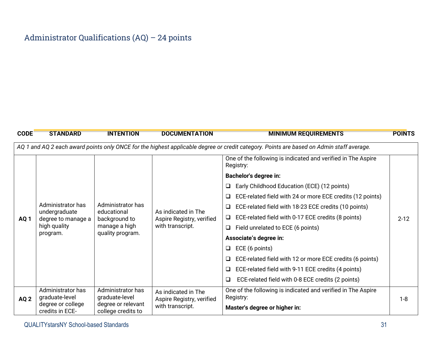#### Administrator Qualifications (AQ) – 24 points

| <b>CODE</b>     | <b>STANDARD</b>                                | <b>INTENTION</b>                                                                                        | <b>DOCUMENTATION</b>                                                 | <b>MINIMUM REQUIREMENTS</b>                                                                                                              | <b>POINTS</b> |
|-----------------|------------------------------------------------|---------------------------------------------------------------------------------------------------------|----------------------------------------------------------------------|------------------------------------------------------------------------------------------------------------------------------------------|---------------|
|                 |                                                |                                                                                                         |                                                                      | AQ 1 and AQ 2 each award points only ONCE for the highest applicable degree or credit category. Points are based on Admin staff average. |               |
|                 |                                                |                                                                                                         |                                                                      | One of the following is indicated and verified in The Aspire<br>Registry:                                                                |               |
|                 |                                                |                                                                                                         |                                                                      | <b>Bachelor's degree in:</b>                                                                                                             |               |
|                 |                                                |                                                                                                         |                                                                      | Early Childhood Education (ECE) (12 points)<br>❏                                                                                         |               |
|                 |                                                |                                                                                                         |                                                                      | ECE-related field with 24 or more ECE credits (12 points)<br>⊔                                                                           |               |
|                 | Administrator has                              | Administrator has<br>undergraduate<br>educational<br>background to<br>manage a high<br>quality program. | As indicated in The<br>Aspire Registry, verified<br>with transcript. | ECE-related field with 18-23 ECE credits (10 points)<br>❏                                                                                |               |
| AQ <sub>1</sub> | degree to manage a<br>high quality<br>program. |                                                                                                         |                                                                      | ECE-related field with 0-17 ECE credits (8 points)<br>❏                                                                                  | $2 - 12$      |
|                 |                                                |                                                                                                         |                                                                      | Field unrelated to ECE (6 points)<br>❏                                                                                                   |               |
|                 |                                                |                                                                                                         |                                                                      | Associate's degree in:                                                                                                                   |               |
|                 |                                                |                                                                                                         |                                                                      | ECE (6 points)<br>$\Box$                                                                                                                 |               |
|                 |                                                |                                                                                                         |                                                                      | ECE-related field with 12 or more ECE credits (6 points)<br>□                                                                            |               |
|                 |                                                |                                                                                                         |                                                                      | ECE-related field with 9-11 ECE credits (4 points)<br>❏                                                                                  |               |
|                 |                                                |                                                                                                         |                                                                      | ECE-related field with 0-8 ECE credits (2 points)<br>❏                                                                                   |               |
| AQ <sub>2</sub> | Administrator has<br>graduate-level            | Administrator has<br>graduate-level                                                                     | As indicated in The<br>Aspire Registry, verified                     | One of the following is indicated and verified in The Aspire<br>Registry:                                                                | $1 - 8$       |
|                 | degree or college<br>credits in ECE-           | degree or relevant<br>college credits to                                                                | with transcript.                                                     | Master's degree or higher in:                                                                                                            |               |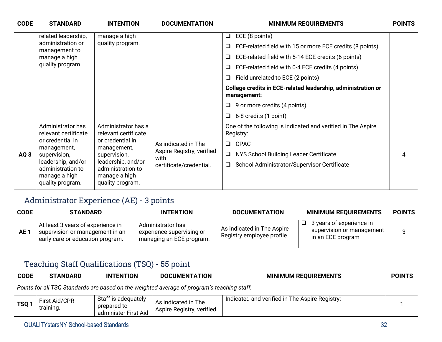| <b>CODE</b> | <b>STANDARD</b>                                                              | <b>INTENTION</b>                                                             | <b>DOCUMENTATION</b>              | <b>MINIMUM REQUIREMENTS</b>                                                 | <b>POINTS</b> |
|-------------|------------------------------------------------------------------------------|------------------------------------------------------------------------------|-----------------------------------|-----------------------------------------------------------------------------|---------------|
|             | related leadership,                                                          | manage a high                                                                |                                   | ECE (8 points)<br>❏                                                         |               |
|             | administration or<br>management to                                           | quality program.                                                             |                                   | ECE-related field with 15 or more ECE credits (8 points)<br>□               |               |
|             | manage a high                                                                |                                                                              |                                   | ECE-related field with 5-14 ECE credits (6 points)<br>$\Box$                |               |
|             | quality program.                                                             |                                                                              |                                   | ECE-related field with 0-4 ECE credits (4 points)<br>□                      |               |
|             |                                                                              |                                                                              |                                   | Field unrelated to ECE (2 points)<br>□                                      |               |
|             |                                                                              |                                                                              |                                   | College credits in ECE-related leadership, administration or<br>management: |               |
|             |                                                                              |                                                                              |                                   | 9 or more credits (4 points)                                                |               |
|             |                                                                              |                                                                              |                                   | 6-8 credits (1 point)<br>$\Box$                                             |               |
|             | Administrator has<br>relevant certificate                                    | Administrator has a<br>relevant certificate                                  |                                   | One of the following is indicated and verified in The Aspire<br>Registry:   |               |
|             | or credential in<br>management,                                              | or credential in<br>management,                                              | As indicated in The               | <b>CPAC</b><br>$\Box$                                                       |               |
| AQ3         | supervision,                                                                 | supervision,                                                                 | Aspire Registry, verified<br>with | NYS School Building Leader Certificate<br>$\Box$                            | 4             |
|             | leadership, and/or<br>administration to<br>manage a high<br>quality program. | leadership, and/or<br>administration to<br>manage a high<br>quality program. | certificate/credential.           | School Administrator/Supervisor Certificate<br>Q.                           |               |

#### Administrator Experience (AE) - 3 points

| <b>CODE</b>     | <b>STANDARD</b>                                                                                          | <b>INTENTION</b>                                                           | <b>DOCUMENTATION</b>                                     | <b>MINIMUM REQUIREMENTS</b>                                                | <b>POINTS</b> |
|-----------------|----------------------------------------------------------------------------------------------------------|----------------------------------------------------------------------------|----------------------------------------------------------|----------------------------------------------------------------------------|---------------|
| AE <sub>1</sub> | At least 3 years of experience in<br>supervision or management in an<br>early care or education program. | Administrator has<br>experience supervising or<br>managing an ECE program. | As indicated in The Aspire<br>Registry employee profile. | 3 years of experience in<br>supervision or management<br>in an ECE program | ີ             |

#### Teaching Staff Qualifications (TSQ) - 55 point

| <b>CODE</b> | <b>STANDARD</b>            | <b>INTENTION</b>                                           | <b>DOCUMENTATION</b>                                                                        | <b>MINIMUM REQUIREMENTS</b>                    | <b>POINTS</b> |
|-------------|----------------------------|------------------------------------------------------------|---------------------------------------------------------------------------------------------|------------------------------------------------|---------------|
|             |                            |                                                            | Points for all TSQ Standards are based on the weighted average of program's teaching staff. |                                                |               |
| <b>TSQ</b>  | First Aid/CPR<br>training. | Staff is adequately<br>prepared to<br>administer First Aid | As indicated in The<br>Aspire Registry, verified                                            | Indicated and verified in The Aspire Registry: |               |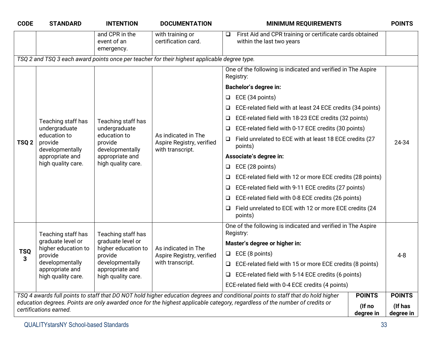| <b>CODE</b>      | <b>STANDARD</b>                                                                     | <b>INTENTION</b>                                                                    | <b>DOCUMENTATION</b>                                                                         | <b>MINIMUM REQUIREMENTS</b>                                                                                                     |               | <b>POINTS</b> |  |
|------------------|-------------------------------------------------------------------------------------|-------------------------------------------------------------------------------------|----------------------------------------------------------------------------------------------|---------------------------------------------------------------------------------------------------------------------------------|---------------|---------------|--|
|                  |                                                                                     | and CPR in the<br>event of an<br>emergency.                                         | with training or<br>certification card.                                                      | First Aid and CPR training or certificate cards obtained<br>$\Box$<br>within the last two years                                 |               |               |  |
|                  |                                                                                     |                                                                                     | TSQ 2 and TSQ 3 each award points once per teacher for their highest applicable degree type. |                                                                                                                                 |               |               |  |
|                  |                                                                                     |                                                                                     |                                                                                              | One of the following is indicated and verified in The Aspire<br>Registry:                                                       |               |               |  |
|                  |                                                                                     |                                                                                     |                                                                                              | Bachelor's degree in:                                                                                                           |               |               |  |
|                  |                                                                                     |                                                                                     |                                                                                              | ECE (34 points)<br>⊔                                                                                                            |               |               |  |
|                  |                                                                                     |                                                                                     |                                                                                              | ECE-related field with at least 24 ECE credits (34 points)                                                                      |               |               |  |
|                  | Teaching staff has                                                                  | Teaching staff has                                                                  |                                                                                              | ECE-related field with 18-23 ECE credits (32 points)                                                                            |               |               |  |
|                  | undergraduate                                                                       | undergraduate                                                                       |                                                                                              | ECE-related field with 0-17 ECE credits (30 points)                                                                             |               |               |  |
| TSQ <sub>2</sub> | education to<br>provide<br>developmentally<br>appropriate and<br>high quality care. | education to<br>provide<br>developmentally<br>appropriate and<br>high quality care. | As indicated in The<br>Aspire Registry, verified<br>with transcript.                         | Field unrelated to ECE with at least 18 ECE credits (27<br>❏<br>points)                                                         |               | 24-34         |  |
|                  |                                                                                     |                                                                                     |                                                                                              | Associate's degree in:                                                                                                          |               |               |  |
|                  |                                                                                     |                                                                                     |                                                                                              | ECE (28 points)<br>❏                                                                                                            |               |               |  |
|                  |                                                                                     |                                                                                     |                                                                                              | ECE-related field with 12 or more ECE credits (28 points)                                                                       |               |               |  |
|                  |                                                                                     |                                                                                     |                                                                                              | ECE-related field with 9-11 ECE credits (27 points)                                                                             |               |               |  |
|                  |                                                                                     |                                                                                     |                                                                                              | ECE-related field with 0-8 ECE credits (26 points)<br>u                                                                         |               |               |  |
|                  |                                                                                     |                                                                                     |                                                                                              | Field unrelated to ECE with 12 or more ECE credits (24<br>points)                                                               |               |               |  |
|                  | Teaching staff has                                                                  | Teaching staff has                                                                  |                                                                                              | One of the following is indicated and verified in The Aspire<br>Registry:                                                       |               |               |  |
|                  | graduate level or<br>higher education to                                            | graduate level or<br>higher education to                                            | As indicated in The                                                                          | Master's degree or higher in:                                                                                                   |               |               |  |
| <b>TSQ</b><br>3  | provide                                                                             | provide                                                                             | Aspire Registry, verified                                                                    | $\Box$ ECE (8 points)                                                                                                           |               | $4 - 8$       |  |
|                  | developmentally                                                                     | developmentally                                                                     | with transcript.                                                                             | ECE-related field with 15 or more ECE credits (8 points)<br>□                                                                   |               |               |  |
|                  | appropriate and<br>high quality care.                                               | appropriate and<br>high quality care.                                               |                                                                                              | $\Box$ ECE-related field with 5-14 ECE credits (6 points)                                                                       |               |               |  |
|                  |                                                                                     |                                                                                     |                                                                                              | ECE-related field with 0-4 ECE credits (4 points)                                                                               |               |               |  |
|                  |                                                                                     |                                                                                     |                                                                                              | TSQ 4 awards full points to staff that DO NOT hold higher education degrees and conditional points to staff that do hold higher | <b>POINTS</b> | <b>POINTS</b> |  |
|                  | certifications earned.                                                              |                                                                                     |                                                                                              | education degrees. Points are only awarded once for the highest applicable category, regardless of the number of credits or     | (If no        | (If has       |  |
|                  |                                                                                     |                                                                                     |                                                                                              |                                                                                                                                 | degree in     | degree in     |  |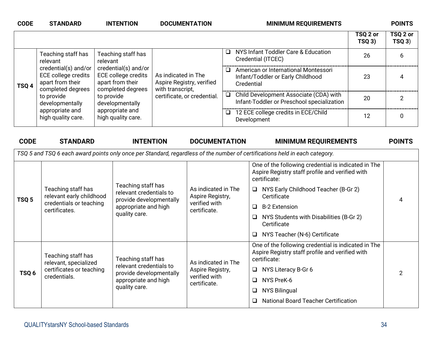| <b>CODE</b> | <b>STANDARD</b>                                                                                                                                                | <b>INTENTION</b>                                                                                                                                                      | <b>DOCUMENTATION</b>                                                                                |        | <b>MINIMUM REQUIREMENTS</b>                                                             |                    | <b>POINTS</b>     |
|-------------|----------------------------------------------------------------------------------------------------------------------------------------------------------------|-----------------------------------------------------------------------------------------------------------------------------------------------------------------------|-----------------------------------------------------------------------------------------------------|--------|-----------------------------------------------------------------------------------------|--------------------|-------------------|
|             |                                                                                                                                                                |                                                                                                                                                                       |                                                                                                     |        |                                                                                         | TSQ 2 or<br>TSQ 3) | TSQ 2 or<br>TSQ3) |
|             | Teaching staff has<br>relevant                                                                                                                                 | Teaching staff has<br>relevant                                                                                                                                        |                                                                                                     | □      | NYS Infant Toddler Care & Education<br>Credential (ITCEC)                               | 26                 | 6                 |
| TSQ 4       | credential(s) and/or<br>ECE college credits<br>apart from their<br>completed degrees<br>to provide<br>developmentally<br>appropriate and<br>high quality care. | credential(s) and/or<br><b>ECE college credits</b><br>apart from their<br>completed degrees<br>to provide<br>developmentally<br>appropriate and<br>high quality care. | As indicated in The<br>Aspire Registry, verified<br>with transcript,<br>certificate, or credential. | □      | American or International Montessori<br>Infant/Toddler or Early Childhood<br>Credential | 23                 | 4                 |
|             |                                                                                                                                                                |                                                                                                                                                                       |                                                                                                     |        | □ Child Development Associate (CDA) with<br>Infant-Toddler or Preschool specialization  | 20                 |                   |
|             |                                                                                                                                                                |                                                                                                                                                                       |                                                                                                     | $\Box$ | 12 ECE college credits in ECE/Child<br>Development                                      | 12                 | 0                 |

| <b>CODE</b>      | <b>STANDARD</b>                                | <b>INTENTION</b>                                                                                 | <b>DOCUMENTATION</b>                                                     | <b>MINIMUM REQUIREMENTS</b>                                                                                                 | <b>POINTS</b> |
|------------------|------------------------------------------------|--------------------------------------------------------------------------------------------------|--------------------------------------------------------------------------|-----------------------------------------------------------------------------------------------------------------------------|---------------|
|                  |                                                |                                                                                                  |                                                                          | TSQ 5 and TSQ 6 each award points only once per Standard, regardless of the number of certifications held in each category. |               |
|                  |                                                |                                                                                                  |                                                                          | One of the following credential is indicated in The<br>Aspire Registry staff profile and verified with<br>certificate:      |               |
| TSQ <sub>5</sub> | Teaching staff has<br>relevant early childhood | Teaching staff has<br>relevant credentials to<br>provide developmentally<br>appropriate and high | As indicated in The<br>Aspire Registry,<br>verified with<br>certificate. | NYS Early Childhood Teacher (B-Gr 2)<br>$\Box$<br>Certificate                                                               |               |
|                  | credentials or teaching<br>certificates.       |                                                                                                  |                                                                          | <b>B-2 Extension</b><br>□                                                                                                   |               |
|                  |                                                | quality care.                                                                                    |                                                                          | NYS Students with Disabilities (B-Gr 2)<br>⊔<br>Certificate                                                                 |               |
|                  |                                                |                                                                                                  |                                                                          | NYS Teacher (N-6) Certificate                                                                                               |               |
|                  | Teaching staff has<br>relevant, specialized    | Teaching staff has<br>relevant credentials to                                                    | As indicated in The                                                      | One of the following credential is indicated in The<br>Aspire Registry staff profile and verified with<br>certificate:      |               |
| TSQ <sub>6</sub> | certificates or teaching                       | provide developmentally                                                                          | Aspire Registry,<br>verified with                                        | NYS Literacy B-Gr 6<br>$\Box$                                                                                               |               |
|                  | credentials.                                   | appropriate and high                                                                             | certificate.                                                             | NYS PreK-6<br>$\Box$                                                                                                        |               |
|                  |                                                | quality care.                                                                                    |                                                                          | NYS Bilingual<br>⊔                                                                                                          |               |
|                  |                                                |                                                                                                  |                                                                          | <b>National Board Teacher Certification</b><br>ப                                                                            |               |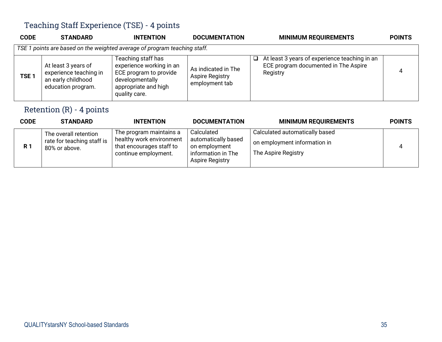#### Teaching Staff Experience (TSE) - 4 points

| <b>CODE</b>      | <b>STANDARD</b>                                                                           | <b>INTENTION</b>                                                                                                                     | <b>DOCUMENTATION</b>                                            | <b>MINIMUM REQUIREMENTS</b>                                                                            | <b>POINTS</b> |
|------------------|-------------------------------------------------------------------------------------------|--------------------------------------------------------------------------------------------------------------------------------------|-----------------------------------------------------------------|--------------------------------------------------------------------------------------------------------|---------------|
|                  |                                                                                           | TSE 1 points are based on the weighted average of program teaching staff.                                                            |                                                                 |                                                                                                        |               |
| TSE <sub>1</sub> | At least 3 years of<br>experience teaching in<br>an early childhood<br>education program. | Teaching staff has<br>experience working in an<br>ECE program to provide<br>developmentally<br>appropriate and high<br>quality care. | As indicated in The<br><b>Aspire Registry</b><br>employment tab | At least 3 years of experience teaching in an<br>ப<br>ECE program documented in The Aspire<br>Registry | 4             |

#### Retention (R) - 4 points

| <b>CODE</b> | <b>STANDARD</b>                                                      | <b>INTENTION</b>                                                                                        | <b>DOCUMENTATION</b>                                                                        | <b>MINIMUM REQUIREMENTS</b>                                                           | <b>POINTS</b> |
|-------------|----------------------------------------------------------------------|---------------------------------------------------------------------------------------------------------|---------------------------------------------------------------------------------------------|---------------------------------------------------------------------------------------|---------------|
| <b>R1</b>   | The overall retention<br>rate for teaching staff is<br>80% or above. | The program maintains a<br>healthy work environment<br>that encourages staff to<br>continue employment. | Calculated<br>automatically based<br>on employment<br>information in The<br>Aspire Registry | Calculated automatically based<br>on employment information in<br>The Aspire Registry |               |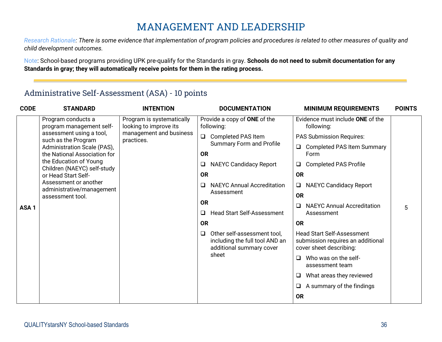#### **MANAGEMENT AND LEADERSHIP**

*Research Rationale: There is some evidence that implementation of program policies and procedures is related to other measures of quality and child development outcomes.*

Note: School-based programs providing UPK pre-qualify for the Standards in gray. **Schools do not need to submit documentation for any Standards in gray; they will automatically receive points for them in the rating process.**

#### Administrative Self-Assessment (ASA) - 10 points

| <b>CODE</b>      | <b>STANDARD</b>                                             | <b>INTENTION</b>                                    |           | <b>DOCUMENTATION</b>                                                                      | <b>MINIMUM REQUIREMENTS</b>                                                                       | <b>POINTS</b> |
|------------------|-------------------------------------------------------------|-----------------------------------------------------|-----------|-------------------------------------------------------------------------------------------|---------------------------------------------------------------------------------------------------|---------------|
|                  | Program conducts a<br>program management self-              | Program is systematically<br>looking to improve its |           | Provide a copy of ONE of the<br>following:                                                | Evidence must include ONE of the<br>following:                                                    |               |
|                  | assessment using a tool,<br>such as the Program             | management and business<br>practices.               | $\Box$    | <b>Completed PAS Item</b>                                                                 | <b>PAS Submission Requires:</b>                                                                   |               |
|                  | Administration Scale (PAS),<br>the National Association for |                                                     | <b>OR</b> | <b>Summary Form and Profile</b>                                                           | □ Completed PAS Item Summary<br>Form                                                              |               |
|                  | the Education of Young<br>Children (NAEYC) self-study       |                                                     | Q         | <b>NAEYC Candidacy Report</b>                                                             | <b>Completed PAS Profile</b><br>$\Box$                                                            |               |
|                  | or Head Start Self-                                         |                                                     | <b>OR</b> |                                                                                           | <b>OR</b>                                                                                         |               |
| ASA <sub>1</sub> | Assessment or another<br>administrative/management          |                                                     | Q         | <b>NAEYC Annual Accreditation</b>                                                         | <b>NAEYC Candidacy Report</b><br>$\Box$                                                           |               |
|                  | assessment tool.                                            |                                                     |           | Assessment                                                                                | <b>OR</b>                                                                                         |               |
|                  |                                                             |                                                     | <b>OR</b> |                                                                                           | <b>NAEYC Annual Accreditation</b><br>$\Box$                                                       | 5             |
|                  |                                                             |                                                     | ❏         | <b>Head Start Self-Assessment</b>                                                         | Assessment                                                                                        |               |
|                  |                                                             |                                                     | <b>OR</b> |                                                                                           | <b>OR</b>                                                                                         |               |
|                  |                                                             |                                                     | $\Box$    | Other self-assessment tool,<br>including the full tool AND an<br>additional summary cover | <b>Head Start Self-Assessment</b><br>submission requires an additional<br>cover sheet describing: |               |
|                  |                                                             |                                                     |           | sheet                                                                                     | Who was on the self-<br>$\Box$<br>assessment team                                                 |               |
|                  |                                                             |                                                     |           |                                                                                           | What areas they reviewed<br>□                                                                     |               |
|                  |                                                             |                                                     |           |                                                                                           | A summary of the findings<br>$\Box$                                                               |               |
|                  |                                                             |                                                     |           |                                                                                           | <b>OR</b>                                                                                         |               |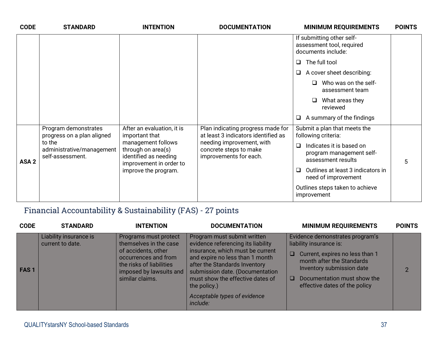| <b>CODE</b>      | <b>STANDARD</b>                                         | <b>INTENTION</b>                                                                             | <b>DOCUMENTATION</b>                                                          | <b>MINIMUM REQUIREMENTS</b>                                                          | <b>POINTS</b> |
|------------------|---------------------------------------------------------|----------------------------------------------------------------------------------------------|-------------------------------------------------------------------------------|--------------------------------------------------------------------------------------|---------------|
|                  |                                                         |                                                                                              |                                                                               | If submitting other self-<br>assessment tool, required<br>documents include:         |               |
|                  |                                                         |                                                                                              |                                                                               | The full tool<br>$\Box$                                                              |               |
|                  |                                                         |                                                                                              |                                                                               | $\Box$ A cover sheet describing:                                                     |               |
|                  |                                                         |                                                                                              |                                                                               | Who was on the self-<br>assessment team                                              |               |
|                  |                                                         |                                                                                              |                                                                               | What areas they<br>$\Box$<br>reviewed                                                |               |
|                  |                                                         |                                                                                              |                                                                               | $\Box$ A summary of the findings                                                     |               |
|                  | Program demonstrates<br>progress on a plan aligned      | After an evaluation, it is<br>important that                                                 | Plan indicating progress made for<br>at least 3 indicators identified as      | Submit a plan that meets the<br>following criteria:                                  |               |
| ASA <sub>2</sub> | to the<br>administrative/management<br>self-assessment. | management follows<br>through on area(s)<br>identified as needing<br>improvement in order to | needing improvement, with<br>concrete steps to make<br>improvements for each. | Indicates it is based on<br>$\Box$<br>program management self-<br>assessment results | 5             |
|                  |                                                         | improve the program.                                                                         |                                                                               | Outlines at least 3 indicators in<br>$\Box$<br>need of improvement                   |               |
|                  |                                                         |                                                                                              |                                                                               | Outlines steps taken to achieve<br>improvement                                       |               |

#### Financial Accountability & Sustainability (FAS) - 27 points

| <b>CODE</b> | <b>STANDARD</b>                            | <b>INTENTION</b>                                                                                                                                                         | <b>DOCUMENTATION</b>                                                                                                                                                                                                                                                                                         | <b>MINIMUM REQUIREMENTS</b>                                                                                                                                                                                                                   | <b>POINTS</b> |
|-------------|--------------------------------------------|--------------------------------------------------------------------------------------------------------------------------------------------------------------------------|--------------------------------------------------------------------------------------------------------------------------------------------------------------------------------------------------------------------------------------------------------------------------------------------------------------|-----------------------------------------------------------------------------------------------------------------------------------------------------------------------------------------------------------------------------------------------|---------------|
| <b>FAS1</b> | Liability insurance is<br>current to date. | Programs must protect<br>themselves in the case<br>of accidents, other<br>occurrences and from<br>the risks of liabilities<br>imposed by lawsuits and<br>similar claims. | Program must submit written<br>evidence referencing its liability<br>insurance, which must be current<br>and expire no less than 1 month<br>after the Standards Inventory<br>submission date. (Documentation<br>must show the effective dates of<br>the policy.)<br>Acceptable types of evidence<br>include: | Evidence demonstrates program's<br>liability insurance is:<br>Current, expires no less than 1<br>$\Box$<br>month after the Standards<br>Inventory submission date<br>Documentation must show the<br><b>□</b><br>effective dates of the policy | $\mathcal{P}$ |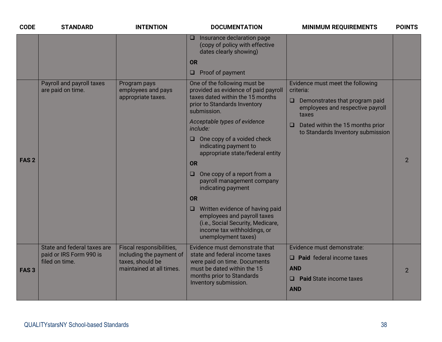| <b>CODE</b>      | <b>STANDARD</b>                                                          | <b>INTENTION</b>                                                                                     | <b>DOCUMENTATION</b>                                                                                                                                                                  | <b>MINIMUM REQUIREMENTS</b>                                                                                                   | <b>POINTS</b>  |
|------------------|--------------------------------------------------------------------------|------------------------------------------------------------------------------------------------------|---------------------------------------------------------------------------------------------------------------------------------------------------------------------------------------|-------------------------------------------------------------------------------------------------------------------------------|----------------|
|                  |                                                                          |                                                                                                      | Insurance declaration page<br>⊔<br>(copy of policy with effective<br>dates clearly showing)                                                                                           |                                                                                                                               |                |
|                  |                                                                          |                                                                                                      | <b>OR</b>                                                                                                                                                                             |                                                                                                                               |                |
|                  |                                                                          |                                                                                                      | $\Box$ Proof of payment                                                                                                                                                               |                                                                                                                               |                |
|                  | Payroll and payroll taxes<br>are paid on time.                           | Program pays<br>employees and pays<br>appropriate taxes.                                             | One of the following must be<br>provided as evidence of paid payroll<br>taxes dated within the 15 months<br>prior to Standards Inventory<br>submission.                               | Evidence must meet the following<br>criteria:<br>Demonstrates that program paid<br>$\Box$<br>employees and respective payroll |                |
|                  |                                                                          |                                                                                                      | Acceptable types of evidence<br>include:                                                                                                                                              | taxes<br>Dated within the 15 months prior<br>$\Box$<br>to Standards Inventory submission                                      |                |
|                  |                                                                          |                                                                                                      | One copy of a voided check<br>0<br>indicating payment to<br>appropriate state/federal entity                                                                                          |                                                                                                                               |                |
| FAS <sub>2</sub> |                                                                          |                                                                                                      | <b>OR</b>                                                                                                                                                                             |                                                                                                                               | $\overline{2}$ |
|                  |                                                                          |                                                                                                      | One copy of a report from a<br>u<br>payroll management company<br>indicating payment                                                                                                  |                                                                                                                               |                |
|                  |                                                                          |                                                                                                      | <b>OR</b>                                                                                                                                                                             |                                                                                                                               |                |
|                  |                                                                          |                                                                                                      | $\Box$ Written evidence of having paid<br>employees and payroll taxes<br>(i.e., Social Security, Medicare,<br>income tax withholdings, or<br>unemployment taxes)                      |                                                                                                                               |                |
| FAS <sub>3</sub> | State and federal taxes are<br>paid or IRS Form 990 is<br>filed on time. | Fiscal responsibilities,<br>including the payment of<br>taxes, should be<br>maintained at all times. | Evidence must demonstrate that<br>state and federal income taxes<br>were paid on time. Documents<br>must be dated within the 15<br>months prior to Standards<br>Inventory submission. | Evidence must demonstrate:<br>$\Box$ Paid federal income taxes<br><b>AND</b><br>$\Box$ Paid State income taxes<br><b>AND</b>  | $\overline{2}$ |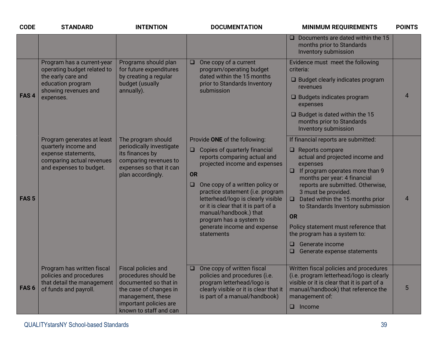| <b>CODE</b>      | <b>STANDARD</b>                                                                                                                           | <b>INTENTION</b>                                                                                                                                                        | <b>DOCUMENTATION</b>                                                                                                                                                                                                                                                                                                                                                                                                   | <b>MINIMUM REQUIREMENTS</b>                                                                                                                                                                                                                                                                                                                                                                                                                                                               | <b>POINTS</b>  |
|------------------|-------------------------------------------------------------------------------------------------------------------------------------------|-------------------------------------------------------------------------------------------------------------------------------------------------------------------------|------------------------------------------------------------------------------------------------------------------------------------------------------------------------------------------------------------------------------------------------------------------------------------------------------------------------------------------------------------------------------------------------------------------------|-------------------------------------------------------------------------------------------------------------------------------------------------------------------------------------------------------------------------------------------------------------------------------------------------------------------------------------------------------------------------------------------------------------------------------------------------------------------------------------------|----------------|
|                  |                                                                                                                                           |                                                                                                                                                                         |                                                                                                                                                                                                                                                                                                                                                                                                                        | $\Box$ Documents are dated within the 15<br>months prior to Standards<br>Inventory submission                                                                                                                                                                                                                                                                                                                                                                                             |                |
| FAS <sub>4</sub> | Program has a current-year<br>operating budget related to<br>the early care and<br>education program<br>showing revenues and<br>expenses. | Programs should plan<br>for future expenditures<br>by creating a regular<br>budget (usually<br>annually).                                                               | One copy of a current<br>$\Box$<br>program/operating budget<br>dated within the 15 months<br>prior to Standards Inventory<br>submission                                                                                                                                                                                                                                                                                | Evidence must meet the following<br>criteria:<br>$\Box$ Budget clearly indicates program<br>revenues<br>□ Budgets indicates program<br>expenses<br>$\Box$ Budget is dated within the 15<br>months prior to Standards<br>Inventory submission                                                                                                                                                                                                                                              | $\overline{4}$ |
| FAS <sub>5</sub> | Program generates at least<br>quarterly income and<br>expense statements,<br>comparing actual revenues<br>and expenses to budget.         | The program should<br>periodically investigate<br>its finances by<br>comparing revenues to<br>expenses so that it can<br>plan accordingly.                              | Provide ONE of the following:<br>Copies of quarterly financial<br>$\Box$<br>reports comparing actual and<br>projected income and expenses<br><b>OR</b><br>One copy of a written policy or<br>$\Box$<br>practice statement (i.e. program<br>letterhead/logo is clearly visible<br>or it is clear that it is part of a<br>manual/handbook.) that<br>program has a system to<br>generate income and expense<br>statements | If financial reports are submitted:<br>$\Box$ Reports compare<br>actual and projected income and<br>expenses<br>$\Box$ If program operates more than 9<br>months per year: 4 financial<br>reports are submitted. Otherwise,<br>3 must be provided.<br>Dated within the 15 months prior<br>$\Box$<br>to Standards Inventory submission<br>OR<br>Policy statement must reference that<br>the program has a system to:<br>Generate income<br>$\Box$<br>Generate expense statements<br>$\Box$ | $\overline{4}$ |
| FAS <sub>6</sub> | Program has written fiscal<br>policies and procedures<br>that detail the management<br>of funds and payroll.                              | Fiscal policies and<br>procedures should be<br>documented so that in<br>the case of changes in<br>management, these<br>important policies are<br>known to staff and can | One copy of written fiscal<br>$\Box$<br>policies and procedures (i.e.<br>program letterhead/logo is<br>clearly visible or it is clear that it<br>is part of a manual/handbook)                                                                                                                                                                                                                                         | Written fiscal policies and procedures<br>(i.e. program letterhead/logo is clearly<br>visible or it is clear that it is part of a<br>manual/handbook) that reference the<br>management of:<br>$\Box$ Income                                                                                                                                                                                                                                                                               | 5              |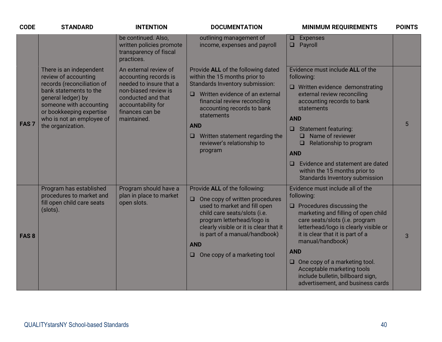| <b>CODE</b>      | <b>STANDARD</b>                                                                                                                                                                                                                        | <b>INTENTION</b>                                                                                                                                                                | <b>DOCUMENTATION</b>                                                                                                                                                                                                                                                                                                        | <b>MINIMUM REQUIREMENTS</b>                                                                                                                                                                                                                                                                                                                                                                                                | <b>POINTS</b> |
|------------------|----------------------------------------------------------------------------------------------------------------------------------------------------------------------------------------------------------------------------------------|---------------------------------------------------------------------------------------------------------------------------------------------------------------------------------|-----------------------------------------------------------------------------------------------------------------------------------------------------------------------------------------------------------------------------------------------------------------------------------------------------------------------------|----------------------------------------------------------------------------------------------------------------------------------------------------------------------------------------------------------------------------------------------------------------------------------------------------------------------------------------------------------------------------------------------------------------------------|---------------|
|                  |                                                                                                                                                                                                                                        | be continued. Also,<br>written policies promote<br>transparency of fiscal<br>practices.                                                                                         | outlining management of<br>income, expenses and payroll                                                                                                                                                                                                                                                                     | <b>Expenses</b><br>$\Box$<br>Payroll<br>$\Box$                                                                                                                                                                                                                                                                                                                                                                             |               |
| FAS <sub>7</sub> | There is an independent<br>review of accounting<br>records (reconciliation of<br>bank statements to the<br>general ledger) by<br>someone with accounting<br>or bookkeeping expertise<br>who is not an employee of<br>the organization. | An external review of<br>accounting records is<br>needed to insure that a<br>non-biased review is<br>conducted and that<br>accountability for<br>finances can be<br>maintained. | Provide ALL of the following dated<br>within the 15 months prior to<br>Standards Inventory submission:<br>Written evidence of an external<br>◻<br>financial review reconciling<br>accounting records to bank<br>statements<br><b>AND</b><br>$\Box$ Written statement regarding the<br>reviewer's relationship to<br>program | Evidence must include ALL of the<br>following:<br>$\Box$ Written evidence demonstrating<br>external review reconciling<br>accounting records to bank<br>statements<br><b>AND</b><br><b>Statement featuring:</b><br>$\Box$<br>Name of reviewer<br>0<br>Relationship to program<br>$\Box$<br><b>AND</b><br>Evidence and statement are dated<br>O<br>within the 15 months prior to<br><b>Standards Inventory submission</b>   | 5             |
| FAS <sub>8</sub> | Program has established<br>procedures to market and<br>fill open child care seats<br>(slots).                                                                                                                                          | Program should have a<br>plan in place to market<br>open slots.                                                                                                                 | Provide ALL of the following:<br>$\Box$<br>One copy of written procedures<br>used to market and fill open<br>child care seats/slots (i.e.<br>program letterhead/logo is<br>clearly visible or it is clear that it<br>is part of a manual/handbook)<br><b>AND</b><br>One copy of a marketing tool<br>u                       | Evidence must include all of the<br>following:<br>$\Box$ Procedures discussing the<br>marketing and filling of open child<br>care seats/slots (i.e. program<br>letterhead/logo is clearly visible or<br>it is clear that it is part of a<br>manual/handbook)<br><b>AND</b><br>$\Box$ One copy of a marketing tool.<br>Acceptable marketing tools<br>include bulletin, billboard sign,<br>advertisement, and business cards | 3             |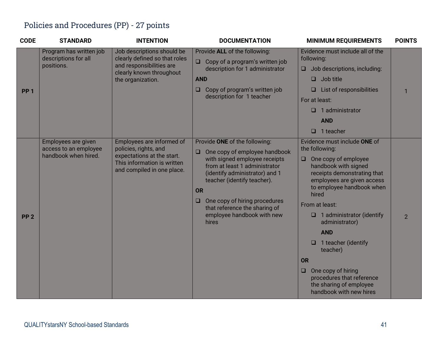#### Policies and Procedures (PP) - 27 points

| <b>CODE</b>     | <b>STANDARD</b>                                                      | <b>INTENTION</b>                                                                                                                              | <b>DOCUMENTATION</b>                                                                                                                                                                                                                                                                                                              | <b>MINIMUM REQUIREMENTS</b>                                                                                                                                                                                                                                                                                                                                                                                                                                                       | <b>POINTS</b>  |
|-----------------|----------------------------------------------------------------------|-----------------------------------------------------------------------------------------------------------------------------------------------|-----------------------------------------------------------------------------------------------------------------------------------------------------------------------------------------------------------------------------------------------------------------------------------------------------------------------------------|-----------------------------------------------------------------------------------------------------------------------------------------------------------------------------------------------------------------------------------------------------------------------------------------------------------------------------------------------------------------------------------------------------------------------------------------------------------------------------------|----------------|
| <b>PP 1</b>     | Program has written job<br>descriptions for all<br>positions.        | Job descriptions should be<br>clearly defined so that roles<br>and responsibilities are<br>clearly known throughout<br>the organization.      | Provide ALL of the following:<br>Copy of a program's written job<br>description for 1 administrator<br><b>AND</b><br>Copy of program's written job<br>❏<br>description for 1 teacher                                                                                                                                              | Evidence must include all of the<br>following:<br>Job descriptions, including:<br>$\Box$<br>Job title<br>◻<br>List of responsibilities<br>$\Box$<br>For at least:<br>1 administrator<br><b>AND</b><br>$\Box$<br>1 teacher                                                                                                                                                                                                                                                         |                |
| PP <sub>2</sub> | Employees are given<br>access to an employee<br>handbook when hired. | Employees are informed of<br>policies, rights, and<br>expectations at the start.<br>This information is written<br>and compiled in one place. | Provide ONE of the following:<br>One copy of employee handbook<br>u<br>with signed employee receipts<br>from at least 1 administrator<br>(identify administrator) and 1<br>teacher (identify teacher).<br><b>OR</b><br>One copy of hiring procedures<br>❏<br>that reference the sharing of<br>employee handbook with new<br>hires | Evidence must include ONE of<br>the following:<br>One copy of employee<br>$\Box$<br>handbook with signed<br>receipts demonstrating that<br>employees are given access<br>to employee handbook when<br>hired<br>From at least:<br>1 administrator (identify<br>$\Box$<br>administrator)<br><b>AND</b><br>1 teacher (identify<br>$\Box$<br>teacher)<br><b>OR</b><br>One copy of hiring<br>$\Box$<br>procedures that reference<br>the sharing of employee<br>handbook with new hires | $\overline{2}$ |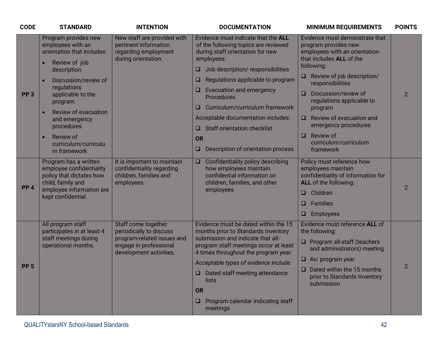| <b>CODE</b>     | <b>STANDARD</b>                                                                                    | <b>INTENTION</b>                                                                                    | <b>DOCUMENTATION</b>                                                                                                                  | <b>MINIMUM REQUIREMENTS</b>                                                                                           | <b>POINTS</b>  |
|-----------------|----------------------------------------------------------------------------------------------------|-----------------------------------------------------------------------------------------------------|---------------------------------------------------------------------------------------------------------------------------------------|-----------------------------------------------------------------------------------------------------------------------|----------------|
|                 | Program provides new<br>employees with an<br>orientation that includes:                            | New staff are provided with<br>pertinent information<br>regarding employment<br>during orientation. | Evidence must indicate that the ALL<br>of the following topics are reviewed<br>during staff orientation for new<br>employees:         | Evidence must demonstrate that<br>program provides new<br>employees with an orientation<br>that includes ALL of the   |                |
|                 | Review of job<br>description                                                                       |                                                                                                     | Job description/responsibilities<br>ш                                                                                                 | following:                                                                                                            |                |
|                 | Discussion/review of                                                                               |                                                                                                     | Regulations applicable to program<br>⊔                                                                                                | Review of job description/<br>□.<br>responsibilities                                                                  |                |
| PP <sub>3</sub> | regulations<br>applicable to the<br>program                                                        |                                                                                                     | Evacuation and emergency<br>Procedures                                                                                                | Discussion/review of<br>□<br>regulations applicable to                                                                | $\overline{2}$ |
|                 | Review of evacuation                                                                               |                                                                                                     | Curriculum/curriculum framework<br>ш                                                                                                  | program                                                                                                               |                |
|                 | and emergency                                                                                      |                                                                                                     | Acceptable documentation includes:                                                                                                    | Review of evacuation and<br>$\Box$                                                                                    |                |
|                 | procedures                                                                                         |                                                                                                     | <b>Staff orientation checklist</b><br>□                                                                                               | emergency procedures<br><b>Review of</b>                                                                              |                |
|                 | curriculum/curriculu                                                                               | Review of                                                                                           | <b>OR</b>                                                                                                                             | $\Box$<br>curriculum/curriculum                                                                                       |                |
|                 | m framework                                                                                        |                                                                                                     | Description of orientation process<br>⊔                                                                                               | framework                                                                                                             |                |
| PP <sub>4</sub> | Program has a written<br>employee confidentiality<br>policy that dictates how<br>child, family and | It is important to maintain<br>confidentiality regarding<br>children, families and<br>employees.    | Confidentiality policy describing<br>$\Box$<br>how employees maintain<br>confidential information on<br>children, families, and other | Policy must reference how<br>employees maintain<br>confidentiality of information for<br><b>ALL</b> of the following: | $\overline{2}$ |
|                 | employee information are<br>kept confidential.                                                     |                                                                                                     | employees                                                                                                                             | Children<br>□.                                                                                                        |                |
|                 |                                                                                                    |                                                                                                     |                                                                                                                                       | <b>Families</b><br>$\Box$                                                                                             |                |
|                 |                                                                                                    |                                                                                                     |                                                                                                                                       | <b>Employees</b><br>O.                                                                                                |                |
|                 | All program staff<br>participates in at least 4                                                    | Staff come together<br>periodically to discuss                                                      | Evidence must be dated within the 15<br>months prior to Standards Inventory                                                           | Evidence must reference ALL of<br>the following:                                                                      |                |
|                 | staff meetings during<br>operational months.                                                       | program-related issues and<br>engage in professional<br>development activities.                     | submission and indicate that all-<br>program staff meetings occur at least<br>4 times throughout the program year.                    | $\Box$ Program all-staff (teachers<br>and administrators) meeting                                                     |                |
|                 |                                                                                                    |                                                                                                     | Acceptable types of evidence include:                                                                                                 | $\Box$ 4x/ program year                                                                                               |                |
| PP <sub>5</sub> |                                                                                                    |                                                                                                     | Dated staff meeting attendance<br>lists                                                                                               | $\Box$ Dated within the 15 months<br>prior to Standards Inventory<br>submission                                       | $\overline{2}$ |
|                 |                                                                                                    |                                                                                                     | <b>OR</b>                                                                                                                             |                                                                                                                       |                |
|                 |                                                                                                    |                                                                                                     | Program calendar indicating staff<br>$\Box$<br>meetings                                                                               |                                                                                                                       |                |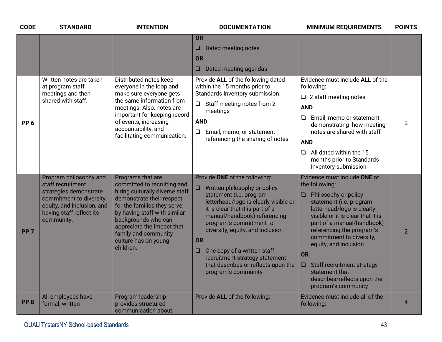| <b>CODE</b>     | <b>STANDARD</b>                                                                                                                                                           | <b>INTENTION</b>                                                                                                                                                                                                                                                                                  | <b>DOCUMENTATION</b>                                                                                                                                                                                                                                                                                                                                                                                                                 | <b>MINIMUM REQUIREMENTS</b>                                                                                                                                                                                                                                                                                                                                                                                              | <b>POINTS</b>  |
|-----------------|---------------------------------------------------------------------------------------------------------------------------------------------------------------------------|---------------------------------------------------------------------------------------------------------------------------------------------------------------------------------------------------------------------------------------------------------------------------------------------------|--------------------------------------------------------------------------------------------------------------------------------------------------------------------------------------------------------------------------------------------------------------------------------------------------------------------------------------------------------------------------------------------------------------------------------------|--------------------------------------------------------------------------------------------------------------------------------------------------------------------------------------------------------------------------------------------------------------------------------------------------------------------------------------------------------------------------------------------------------------------------|----------------|
|                 |                                                                                                                                                                           |                                                                                                                                                                                                                                                                                                   | <b>OR</b><br>Dated meeting notes<br>ᆸ<br><b>OR</b><br>Dated meeting agendas<br>ᆸ                                                                                                                                                                                                                                                                                                                                                     |                                                                                                                                                                                                                                                                                                                                                                                                                          |                |
| PP <sub>6</sub> | Written notes are taken<br>at program staff<br>meetings and then<br>shared with staff.                                                                                    | Distributed notes keep<br>everyone in the loop and<br>make sure everyone gets<br>the same information from<br>meetings. Also, notes are<br>important for keeping record<br>of events, increasing<br>accountability, and<br>facilitating communication.                                            | Provide ALL of the following dated<br>within the 15 months prior to<br>Standards Inventory submission.<br>$\Box$ Staff meeting notes from 2<br>meetings<br><b>AND</b><br>Email, memo, or statement<br>❏<br>referencing the sharing of notes                                                                                                                                                                                          | Evidence must include ALL of the<br>following:<br>$\Box$ 2 staff meeting notes<br><b>AND</b><br>Email, memo or statement<br>Q.<br>demonstrating how meeting<br>notes are shared with staff<br><b>AND</b><br>All dated within the 15<br>⊔.<br>months prior to Standards<br>Inventory submission                                                                                                                           | $\overline{2}$ |
| PP <sub>7</sub> | Program philosophy and<br>staff recruitment<br>strategies demonstrate<br>commitment to diversity,<br>equity, and inclusion, and<br>having staff reflect its<br>community. | Programs that are<br>committed to recruiting and<br>hiring culturally diverse staff<br>demonstrate their respect<br>for the families they serve<br>by having staff with similar<br>backgrounds who can<br>appreciate the impact that<br>family and community<br>culture has on young<br>children. | Provide ONE of the following:<br>Written philosophy or policy<br>$\Box$<br>statement (i.e. program<br>letterhead/logo is clearly visible or<br>it is clear that it is part of a<br>manual/handbook) referencing<br>program's commitment to<br>diversity, equity, and inclusion<br><b>OR</b><br>One copy of a written staff<br>$\Box$<br>recruitment strategy statement<br>that describes or reflects upon the<br>program's community | Evidence must include ONE of<br>the following:<br>Philosophy or policy<br>$\Box$<br>statement (i.e. program<br>letterhead/logo is clearly<br>visible or it is clear that it is<br>part of a manual/handbook)<br>referencing the program's<br>commitment to diversity,<br>equity, and inclusion.<br><b>OR</b><br>Staff recruitment strategy<br>□.<br>statement that<br>describes/reflects upon the<br>program's community | $\overline{2}$ |
| PP <sub>8</sub> | All employees have<br>formal, written                                                                                                                                     | Program leadership<br>provides structured<br>communication about                                                                                                                                                                                                                                  | Provide ALL of the following:                                                                                                                                                                                                                                                                                                                                                                                                        | Evidence must include all of the<br>following:                                                                                                                                                                                                                                                                                                                                                                           | $\overline{4}$ |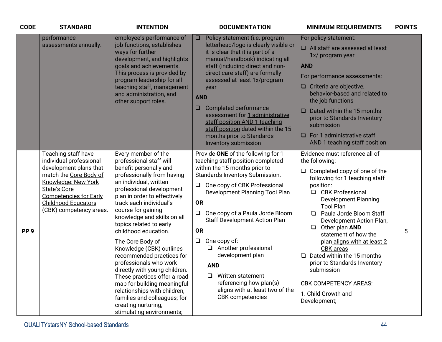| <b>CODE</b>     | <b>STANDARD</b>                                                                                                                                                                                                                     | <b>INTENTION</b>                                                                                                                                                                                                                                                                                                                                                                                                                                                                                                                                                                                                                                           | <b>DOCUMENTATION</b>                                                                                                                                                                                                                                                                                                                                                                                                                                                                                                                          | <b>MINIMUM REQUIREMENTS</b>                                                                                                                                                                                                                                                                                                                                                                                                                                                                                                                | <b>POINTS</b> |
|-----------------|-------------------------------------------------------------------------------------------------------------------------------------------------------------------------------------------------------------------------------------|------------------------------------------------------------------------------------------------------------------------------------------------------------------------------------------------------------------------------------------------------------------------------------------------------------------------------------------------------------------------------------------------------------------------------------------------------------------------------------------------------------------------------------------------------------------------------------------------------------------------------------------------------------|-----------------------------------------------------------------------------------------------------------------------------------------------------------------------------------------------------------------------------------------------------------------------------------------------------------------------------------------------------------------------------------------------------------------------------------------------------------------------------------------------------------------------------------------------|--------------------------------------------------------------------------------------------------------------------------------------------------------------------------------------------------------------------------------------------------------------------------------------------------------------------------------------------------------------------------------------------------------------------------------------------------------------------------------------------------------------------------------------------|---------------|
|                 | performance<br>assessments annually.                                                                                                                                                                                                | employee's performance of<br>job functions, establishes<br>ways for further<br>development, and highlights<br>goals and achievements.<br>This process is provided by<br>program leadership for all<br>teaching staff, management<br>and administration, and<br>other support roles.                                                                                                                                                                                                                                                                                                                                                                        | Policy statement (i.e. program<br>$\Box$<br>letterhead/logo is clearly visible or<br>it is clear that it is part of a<br>manual/handbook) indicating all<br>staff (including direct and non-<br>direct care staff) are formally<br>assessed at least 1x/program<br>year<br><b>AND</b><br>Completed performance<br>$\Box$<br>assessment for 1 administrative<br>staff position AND 1 teaching<br>staff position dated within the 15<br>months prior to Standards<br>Inventory submission                                                       | For policy statement:<br>$\Box$ All staff are assessed at least<br>1x/ program year<br><b>AND</b><br>For performance assessments:<br>$\Box$ Criteria are objective,<br>behavior-based and related to<br>the job functions<br>$\Box$ Dated within the 15 months<br>prior to Standards Inventory<br>submission<br>$\Box$ For 1 administrative staff<br>AND 1 teaching staff position                                                                                                                                                         |               |
| PP <sub>9</sub> | Teaching staff have<br>individual professional<br>development plans that<br>match the Core Body of<br>Knowledge: New York<br>State's Core<br><b>Competencies for Early</b><br><b>Childhood Educators</b><br>(CBK) competency areas. | Every member of the<br>professional staff will<br>benefit personally and<br>professionally from having<br>an individual, written<br>professional development<br>plan in order to effectively<br>track each individual's<br>course for gaining<br>knowledge and skills on all<br>topics related to early<br>childhood education.<br>The Core Body of<br>Knowledge (CBK) outlines<br>recommended practices for<br>professionals who work<br>directly with young children.<br>These practices offer a road<br>map for building meaningful<br>relationships with children,<br>families and colleagues; for<br>creating nurturing,<br>stimulating environments; | Provide ONE of the following for 1<br>teaching staff position completed<br>within the 15 months prior to<br>Standards Inventory Submission.<br>One copy of CBK Professional<br>$\Box$<br>Development Planning Tool Plan<br><b>OR</b><br>One copy of a Paula Jorde Bloom<br>$\Box$<br><b>Staff Development Action Plan</b><br><b>OR</b><br>One copy of:<br>$\Box$<br>Another professional<br>development plan<br><b>AND</b><br>Written statement<br>⊔<br>referencing how plan(s)<br>aligns with at least two of the<br><b>CBK</b> competencies | Evidence must reference all of<br>the following:<br>$\Box$ Completed copy of one of the<br>following for 1 teaching staff<br>position:<br>□ CBK Professional<br><b>Development Planning</b><br><b>Tool Plan</b><br>Paula Jorde Bloom Staff<br>□<br>Development Action Plan,<br>Other plan AND<br>$\Box$<br>statement of how the<br>plan aligns with at least 2<br><b>CBK</b> areas<br>Dated within the 15 months<br>□<br>prior to Standards Inventory<br>submission<br><b>CBK COMPETENCY AREAS:</b><br>1. Child Growth and<br>Development; | 5             |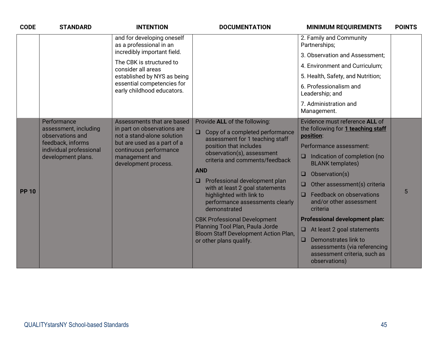| <b>CODE</b>  | <b>STANDARD</b>                                                                                                                | <b>INTENTION</b>                                                                                                                                                                           | <b>DOCUMENTATION</b>                                                                                                                                                                                                                                                                                                                                                                                                                                                                                                            | <b>MINIMUM REQUIREMENTS</b>                                                                                                                                                                                                                                                                                                                                                                                                                                                                                                         | <b>POINTS</b> |
|--------------|--------------------------------------------------------------------------------------------------------------------------------|--------------------------------------------------------------------------------------------------------------------------------------------------------------------------------------------|---------------------------------------------------------------------------------------------------------------------------------------------------------------------------------------------------------------------------------------------------------------------------------------------------------------------------------------------------------------------------------------------------------------------------------------------------------------------------------------------------------------------------------|-------------------------------------------------------------------------------------------------------------------------------------------------------------------------------------------------------------------------------------------------------------------------------------------------------------------------------------------------------------------------------------------------------------------------------------------------------------------------------------------------------------------------------------|---------------|
|              | as a professional in an                                                                                                        | and for developing oneself                                                                                                                                                                 |                                                                                                                                                                                                                                                                                                                                                                                                                                                                                                                                 | 2. Family and Community<br>Partnerships;                                                                                                                                                                                                                                                                                                                                                                                                                                                                                            |               |
|              |                                                                                                                                | incredibly important field.                                                                                                                                                                |                                                                                                                                                                                                                                                                                                                                                                                                                                                                                                                                 | 3. Observation and Assessment;                                                                                                                                                                                                                                                                                                                                                                                                                                                                                                      |               |
|              |                                                                                                                                | The CBK is structured to<br>consider all areas                                                                                                                                             |                                                                                                                                                                                                                                                                                                                                                                                                                                                                                                                                 | 4. Environment and Curriculum;                                                                                                                                                                                                                                                                                                                                                                                                                                                                                                      |               |
|              |                                                                                                                                | established by NYS as being                                                                                                                                                                |                                                                                                                                                                                                                                                                                                                                                                                                                                                                                                                                 | 5. Health, Safety, and Nutrition;                                                                                                                                                                                                                                                                                                                                                                                                                                                                                                   |               |
|              |                                                                                                                                | essential competencies for<br>early childhood educators.                                                                                                                                   |                                                                                                                                                                                                                                                                                                                                                                                                                                                                                                                                 | 6. Professionalism and<br>Leadership; and                                                                                                                                                                                                                                                                                                                                                                                                                                                                                           |               |
|              |                                                                                                                                |                                                                                                                                                                                            |                                                                                                                                                                                                                                                                                                                                                                                                                                                                                                                                 | 7. Administration and<br>Management.                                                                                                                                                                                                                                                                                                                                                                                                                                                                                                |               |
| <b>PP 10</b> | Performance<br>assessment, including<br>observations and<br>feedback, informs<br>individual professional<br>development plans. | Assessments that are based<br>in part on observations are<br>not a stand-alone solution<br>but are used as a part of a<br>continuous performance<br>management and<br>development process. | Provide ALL of the following:<br>Copy of a completed performance<br>$\Box$<br>assessment for 1 teaching staff<br>position that includes<br>observation(s), assessment<br>criteria and comments/feedback<br><b>AND</b><br>Professional development plan<br>$\Box$<br>with at least 2 goal statements<br>highlighted with link to<br>performance assessments clearly<br>demonstrated<br><b>CBK Professional Development</b><br>Planning Tool Plan, Paula Jorde<br>Bloom Staff Development Action Plan,<br>or other plans qualify. | Evidence must reference ALL of<br>the following for 1 teaching staff<br>position:<br>Performance assessment:<br>Indication of completion (no<br>$\Box$<br><b>BLANK</b> templates)<br>Observation(s)<br>$\Box$<br>Other assessment(s) criteria<br>$\Box$<br>Feedback on observations<br>0<br>and/or other assessment<br>criteria<br><b>Professional development plan:</b><br>At least 2 goal statements<br>$\Box$<br>Demonstrates link to<br>$\Box$<br>assessments (via referencing<br>assessment criteria, such as<br>observations) | 5             |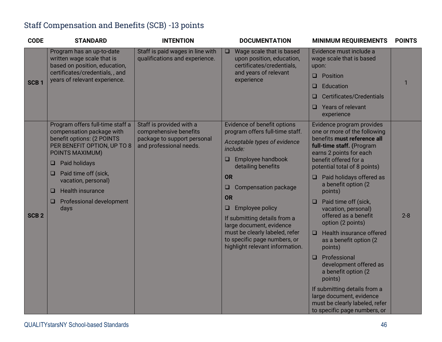#### Staff Compensation and Benefits (SCB) -13 points

| <b>CODE</b>      | <b>STANDARD</b>                                                                                                                                                                                                                                                                                         | <b>INTENTION</b>                                                                                             | <b>DOCUMENTATION</b>                                                                                                                                                                                                                                                                                                                                                                                       | <b>MINIMUM REQUIREMENTS</b>                                                                                                                                                                                                                                                                                                                                                                                                                                                                                                                                                                                                                                           | <b>POINTS</b> |
|------------------|---------------------------------------------------------------------------------------------------------------------------------------------------------------------------------------------------------------------------------------------------------------------------------------------------------|--------------------------------------------------------------------------------------------------------------|------------------------------------------------------------------------------------------------------------------------------------------------------------------------------------------------------------------------------------------------------------------------------------------------------------------------------------------------------------------------------------------------------------|-----------------------------------------------------------------------------------------------------------------------------------------------------------------------------------------------------------------------------------------------------------------------------------------------------------------------------------------------------------------------------------------------------------------------------------------------------------------------------------------------------------------------------------------------------------------------------------------------------------------------------------------------------------------------|---------------|
| SCB <sub>1</sub> | Program has an up-to-date<br>written wage scale that is<br>based on position, education,<br>certificates/credentials,, and<br>years of relevant experience.                                                                                                                                             | Staff is paid wages in line with<br>qualifications and experience.                                           | Wage scale that is based<br>$\Box$<br>upon position, education,<br>certificates/credentials,<br>and years of relevant<br>experience                                                                                                                                                                                                                                                                        | Evidence must include a<br>wage scale that is based<br>upon:<br>$\Box$ Position<br>Education<br>0<br><b>Certificates/Credentials</b><br>□<br>Years of relevant<br>□<br>experience                                                                                                                                                                                                                                                                                                                                                                                                                                                                                     | 1             |
| SCB <sub>2</sub> | Program offers full-time staff a<br>compensation package with<br>benefit options: (2 POINTS<br>PER BENEFIT OPTION, UP TO 8<br>POINTS MAXIMUM)<br>Paid holidays<br>❏<br>Paid time off (sick,<br>□<br>vacation, personal)<br><b>Health insurance</b><br>□<br><b>Professional development</b><br>❏<br>days | Staff is provided with a<br>comprehensive benefits<br>package to support personal<br>and professional needs. | Evidence of benefit options<br>program offers full-time staff.<br>Acceptable types of evidence<br>include:<br>Employee handbook<br>O<br>detailing benefits<br>OR<br>Compensation package<br>⊔<br><b>OR</b><br><b>Employee policy</b><br>Q<br>If submitting details from a<br>large document, evidence<br>must be clearly labeled, refer<br>to specific page numbers, or<br>highlight relevant information. | Evidence program provides<br>one or more of the following<br>benefits must reference all<br>full-time staff. (Program<br>earns 2 points for each<br>benefit offered for a<br>potential total of 8 points)<br>$\Box$ Paid holidays offered as<br>a benefit option (2<br>points)<br>Paid time off (sick,<br>$\Box$<br>vacation, personal)<br>offered as a benefit<br>option (2 points)<br>Health insurance offered<br>□<br>as a benefit option (2)<br>points)<br>Professional<br>development offered as<br>a benefit option (2<br>points)<br>If submitting details from a<br>large document, evidence<br>must be clearly labeled, refer<br>to specific page numbers, or | $2 - 8$       |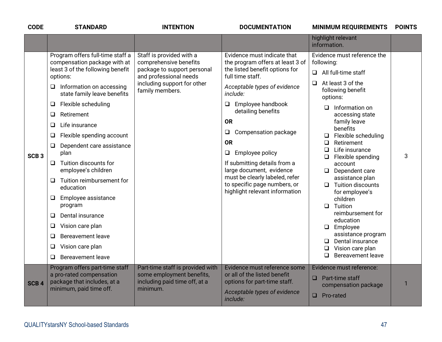| <b>CODE</b>      | <b>STANDARD</b>                                                                                                                                                                                                                                                                                                                                                                                                                                                                                                                                                                                                                                                  | <b>INTENTION</b>                                                                                                                                              | <b>DOCUMENTATION</b>                                                                                                                                                                                                                                                                                                                                                                                                                                                       | <b>MINIMUM REQUIREMENTS</b>                                                                                                                                                                                                                                                                                                                                                                                                                                                                                                                                                                                                        | <b>POINTS</b> |
|------------------|------------------------------------------------------------------------------------------------------------------------------------------------------------------------------------------------------------------------------------------------------------------------------------------------------------------------------------------------------------------------------------------------------------------------------------------------------------------------------------------------------------------------------------------------------------------------------------------------------------------------------------------------------------------|---------------------------------------------------------------------------------------------------------------------------------------------------------------|----------------------------------------------------------------------------------------------------------------------------------------------------------------------------------------------------------------------------------------------------------------------------------------------------------------------------------------------------------------------------------------------------------------------------------------------------------------------------|------------------------------------------------------------------------------------------------------------------------------------------------------------------------------------------------------------------------------------------------------------------------------------------------------------------------------------------------------------------------------------------------------------------------------------------------------------------------------------------------------------------------------------------------------------------------------------------------------------------------------------|---------------|
|                  |                                                                                                                                                                                                                                                                                                                                                                                                                                                                                                                                                                                                                                                                  |                                                                                                                                                               |                                                                                                                                                                                                                                                                                                                                                                                                                                                                            | highlight relevant<br>information.                                                                                                                                                                                                                                                                                                                                                                                                                                                                                                                                                                                                 |               |
| SCB <sub>3</sub> | Program offers full-time staff a<br>compensation package with at<br>least 3 of the following benefit<br>options:<br>Information on accessing<br>Q<br>state family leave benefits<br>Flexible scheduling<br>$\Box$<br>Retirement<br>Q<br>Life insurance<br>$\Box$<br>Flexible spending account<br>Q<br>$\Box$<br>Dependent care assistance<br>plan<br>Tuition discounts for<br>$\Box$<br>employee's children<br>Tuition reimbursement for<br>❏<br>education<br>$\Box$<br>Employee assistance<br>program<br>Dental insurance<br>Q<br>Vision care plan<br>$\Box$<br>Bereavement leave<br>$\Box$<br>Vision care plan<br>$\Box$<br><b>Bereavement leave</b><br>$\Box$ | Staff is provided with a<br>comprehensive benefits<br>package to support personal<br>and professional needs<br>including support for other<br>family members. | Evidence must indicate that<br>the program offers at least 3 of<br>the listed benefit options for<br>full time staff.<br>Acceptable types of evidence<br>include:<br>Employee handbook<br>$\Box$<br>detailing benefits<br><b>OR</b><br>Compensation package<br>❏<br><b>OR</b><br>Employee policy<br>$\Box$<br>If submitting details from a<br>large document, evidence<br>must be clearly labeled, refer<br>to specific page numbers, or<br>highlight relevant information | Evidence must reference the<br>following:<br>All full-time staff<br>$\Box$<br>At least 3 of the<br>$\Box$<br>following benefit<br>options:<br>Information on<br>◻<br>accessing state<br>family leave<br>benefits<br>Flexible scheduling<br>$\Box$<br>Retirement<br>□<br>Life insurance<br>□<br>Flexible spending<br>❏<br>account<br>Dependent care<br>$\Box$<br>assistance plan<br>$\Box$ Tuition discounts<br>for employee's<br>children<br>Tuition<br>$\Box$<br>reimbursement for<br>education<br>Employee<br>$\Box$<br>assistance program<br>Dental insurance<br>$\Box$<br>Vision care plan<br>$\Box$<br>Bereavement leave<br>□ | 3             |
| SCB <sub>4</sub> | Program offers part-time staff<br>a pro-rated compensation<br>package that includes, at a<br>minimum, paid time off.                                                                                                                                                                                                                                                                                                                                                                                                                                                                                                                                             | Part-time staff is provided with<br>some employment benefits,<br>including paid time off, at a<br>minimum.                                                    | Evidence must reference some<br>or all of the listed benefit<br>options for part-time staff.<br>Acceptable types of evidence<br>include:                                                                                                                                                                                                                                                                                                                                   | Evidence must reference:<br>$\Box$ Part-time staff<br>compensation package<br>Pro-rated<br>◻                                                                                                                                                                                                                                                                                                                                                                                                                                                                                                                                       |               |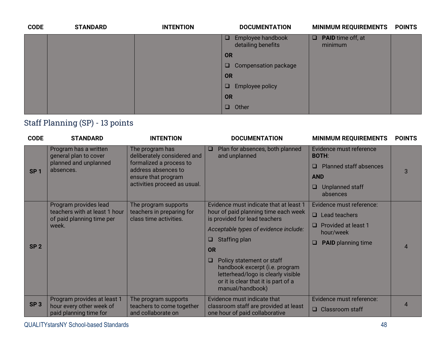| <b>CODE</b> | <b>STANDARD</b> | <b>INTENTION</b> | <b>DOCUMENTATION</b>                              | <b>MINIMUM REQUIREMENTS</b>         | <b>POINTS</b> |
|-------------|-----------------|------------------|---------------------------------------------------|-------------------------------------|---------------|
|             |                 |                  | Employee handbook<br>$\Box$<br>detailing benefits | $\Box$ PAID time off, at<br>minimum |               |
|             |                 |                  | OR                                                |                                     |               |
|             |                 |                  | Compensation package<br>$\Box$                    |                                     |               |
|             |                 |                  | <b>OR</b>                                         |                                     |               |
|             |                 |                  | $\Box$<br><b>Employee policy</b>                  |                                     |               |
|             |                 |                  | <b>OR</b>                                         |                                     |               |
|             |                 |                  | $\Box$<br>Other                                   |                                     |               |

### Staff Planning (SP) - 13 points

| <b>CODE</b>     | <b>STANDARD</b>                                            | <b>INTENTION</b>                                    | <b>DOCUMENTATION</b>                                                                                                                                               | <b>MINIMUM REQUIREMENTS</b>                  | <b>POINTS</b>             |
|-----------------|------------------------------------------------------------|-----------------------------------------------------|--------------------------------------------------------------------------------------------------------------------------------------------------------------------|----------------------------------------------|---------------------------|
|                 | Program has a written<br>general plan to cover             | The program has<br>deliberately considered and      | Plan for absences, both planned<br>$\Box$<br>and unplanned                                                                                                         | Evidence must reference<br><b>BOTH:</b>      |                           |
| SP <sub>1</sub> | planned and unplanned<br>absences.                         | formalized a process to<br>address absences to      |                                                                                                                                                                    | <b>Planned staff absences</b><br>□           | 3                         |
|                 |                                                            | ensure that program                                 |                                                                                                                                                                    | <b>AND</b>                                   |                           |
|                 |                                                            | activities proceed as usual.                        |                                                                                                                                                                    | Unplanned staff<br>⊔<br>absences             |                           |
|                 | Program provides lead                                      | The program supports                                | Evidence must indicate that at least 1                                                                                                                             | Evidence must reference:                     |                           |
|                 | teachers with at least 1 hour<br>of paid planning time per | teachers in preparing for<br>class time activities. | hour of paid planning time each week<br>is provided for lead teachers                                                                                              | Lead teachers<br>$\Box$                      |                           |
|                 | week.                                                      |                                                     | Acceptable types of evidence include:                                                                                                                              | <b>Provided at least 1</b><br>ш<br>hour/week |                           |
| SP <sub>2</sub> |                                                            |                                                     | <b>Staffing plan</b><br>u.                                                                                                                                         | <b>PAID</b> planning time<br>□               | 4                         |
|                 |                                                            |                                                     | <b>OR</b>                                                                                                                                                          |                                              |                           |
|                 |                                                            |                                                     | Policy statement or staff<br>u.<br>handbook excerpt (i.e. program<br>letterhead/logo is clearly visible<br>or it is clear that it is part of a<br>manual/handbook) |                                              |                           |
| SP <sub>3</sub> | Program provides at least 1                                | The program supports                                | Evidence must indicate that                                                                                                                                        | Evidence must reference:                     | $\boldsymbol{\varLambda}$ |
|                 | hour every other week of<br>paid planning time for         | teachers to come together<br>and collaborate on     | classroom staff are provided at least<br>one hour of paid collaborative                                                                                            | $\Box$ Classroom staff                       |                           |